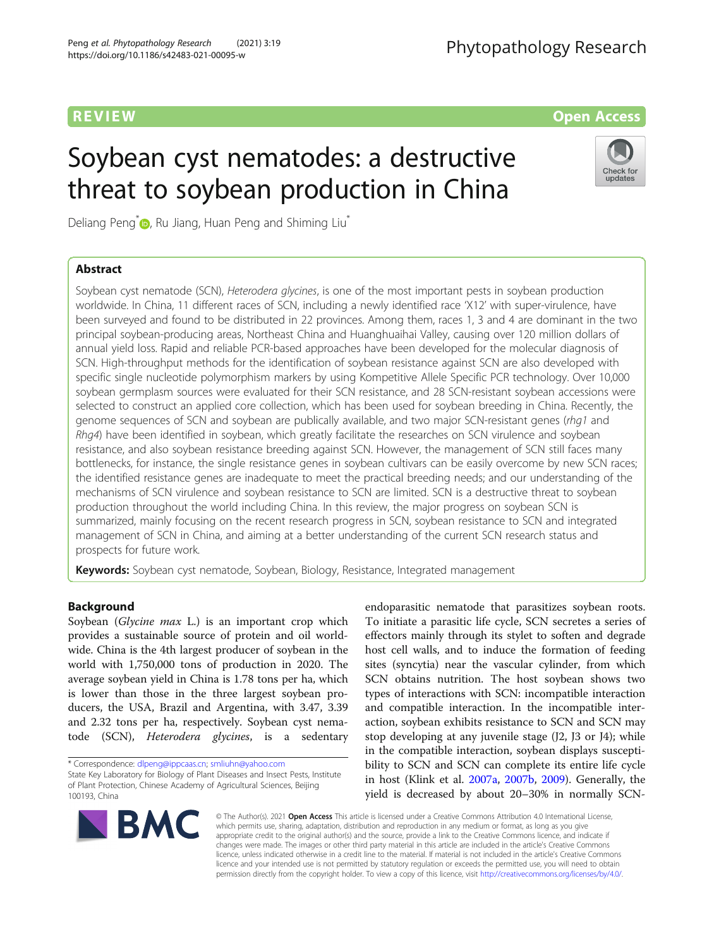# **REVIEW CONSUMING THE CONSUMING OPEN ACCESS**

# Soybean cyst nematodes: a destructive threat to soybean production in China

Deliang Peng<sup>[\\*](http://orcid.org/0000-0002-6759-577X)</sup> $\bigcirc$ , Ru Jiang, Huan Peng and Shiming Liu<sup>\*</sup>

# Abstract



Soybean cyst nematode (SCN), Heterodera glycines, is one of the most important pests in soybean production worldwide. In China, 11 different races of SCN, including a newly identified race 'X12' with super-virulence, have been surveyed and found to be distributed in 22 provinces. Among them, races 1, 3 and 4 are dominant in the two principal soybean-producing areas, Northeast China and Huanghuaihai Valley, causing over 120 million dollars of annual yield loss. Rapid and reliable PCR-based approaches have been developed for the molecular diagnosis of SCN. High-throughput methods for the identification of soybean resistance against SCN are also developed with specific single nucleotide polymorphism markers by using Kompetitive Allele Specific PCR technology. Over 10,000 soybean germplasm sources were evaluated for their SCN resistance, and 28 SCN-resistant soybean accessions were selected to construct an applied core collection, which has been used for soybean breeding in China. Recently, the genome sequences of SCN and soybean are publically available, and two major SCN-resistant genes (rhg1 and Rhg4) have been identified in soybean, which greatly facilitate the researches on SCN virulence and soybean resistance, and also soybean resistance breeding against SCN. However, the management of SCN still faces many bottlenecks, for instance, the single resistance genes in soybean cultivars can be easily overcome by new SCN races; the identified resistance genes are inadequate to meet the practical breeding needs; and our understanding of the mechanisms of SCN virulence and soybean resistance to SCN are limited. SCN is a destructive threat to soybean production throughout the world including China. In this review, the major progress on soybean SCN is summarized, mainly focusing on the recent research progress in SCN, soybean resistance to SCN and integrated management of SCN in China, and aiming at a better understanding of the current SCN research status and prospects for future work.

Keywords: Soybean cyst nematode, Soybean, Biology, Resistance, Integrated management

# Background

Soybean (Glycine max L.) is an important crop which provides a sustainable source of protein and oil worldwide. China is the 4th largest producer of soybean in the world with 1,750,000 tons of production in 2020. The average soybean yield in China is 1.78 tons per ha, which is lower than those in the three largest soybean producers, the USA, Brazil and Argentina, with 3.47, 3.39 and 2.32 tons per ha, respectively. Soybean cyst nematode (SCN), Heterodera glycines, is a sedentary

endoparasitic nematode that parasitizes soybean roots. To initiate a parasitic life cycle, SCN secretes a series of effectors mainly through its stylet to soften and degrade host cell walls, and to induce the formation of feeding sites (syncytia) near the vascular cylinder, from which SCN obtains nutrition. The host soybean shows two types of interactions with SCN: incompatible interaction and compatible interaction. In the incompatible interaction, soybean exhibits resistance to SCN and SCN may stop developing at any juvenile stage (J2, J3 or J4); while in the compatible interaction, soybean displays susceptibility to SCN and SCN can complete its entire life cycle in host (Klink et al. [2007a](#page-13-0), [2007b,](#page-13-0) [2009](#page-13-0)). Generally, the yield is decreased by about 20–30% in normally SCN-



© The Author(s). 2021 Open Access This article is licensed under a Creative Commons Attribution 4.0 International License, which permits use, sharing, adaptation, distribution and reproduction in any medium or format, as long as you give appropriate credit to the original author(s) and the source, provide a link to the Creative Commons licence, and indicate if changes were made. The images or other third party material in this article are included in the article's Creative Commons licence, unless indicated otherwise in a credit line to the material. If material is not included in the article's Creative Commons licence and your intended use is not permitted by statutory regulation or exceeds the permitted use, you will need to obtain permission directly from the copyright holder. To view a copy of this licence, visit [http://creativecommons.org/licenses/by/4.0/.](http://creativecommons.org/licenses/by/4.0/)

<sup>\*</sup> Correspondence: [dlpeng@ippcaas.cn](mailto:dlpeng@ippcaas.cn); [smliuhn@yahoo.com](mailto:smliuhn@yahoo.com) State Key Laboratory for Biology of Plant Diseases and Insect Pests, Institute of Plant Protection, Chinese Academy of Agricultural Sciences, Beijing 100193, China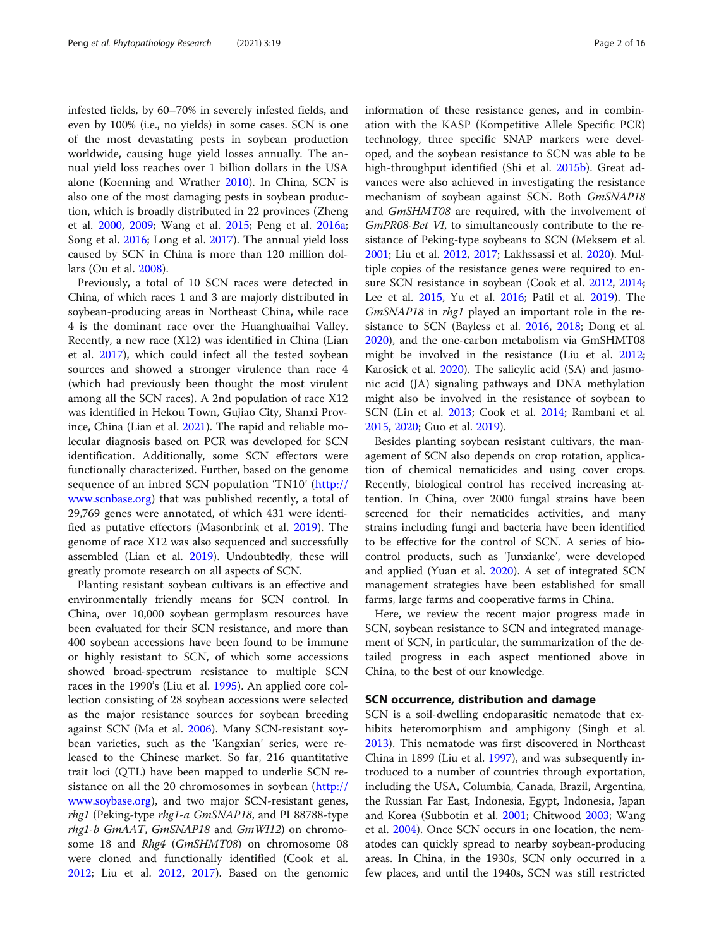infested fields, by 60–70% in severely infested fields, and even by 100% (i.e., no yields) in some cases. SCN is one of the most devastating pests in soybean production worldwide, causing huge yield losses annually. The annual yield loss reaches over 1 billion dollars in the USA alone (Koenning and Wrather [2010\)](#page-13-0). In China, SCN is also one of the most damaging pests in soybean production, which is broadly distributed in 22 provinces (Zheng et al. [2000,](#page-15-0) [2009;](#page-15-0) Wang et al. [2015](#page-15-0); Peng et al. [2016a](#page-14-0); Song et al. [2016;](#page-15-0) Long et al. [2017\)](#page-14-0). The annual yield loss caused by SCN in China is more than 120 million dollars (Ou et al. [2008](#page-14-0)).

Previously, a total of 10 SCN races were detected in China, of which races 1 and 3 are majorly distributed in soybean-producing areas in Northeast China, while race 4 is the dominant race over the Huanghuaihai Valley. Recently, a new race (X12) was identified in China (Lian et al. [2017\)](#page-13-0), which could infect all the tested soybean sources and showed a stronger virulence than race 4 (which had previously been thought the most virulent among all the SCN races). A 2nd population of race X12 was identified in Hekou Town, Gujiao City, Shanxi Province, China (Lian et al. [2021\)](#page-13-0). The rapid and reliable molecular diagnosis based on PCR was developed for SCN identification. Additionally, some SCN effectors were functionally characterized. Further, based on the genome sequence of an inbred SCN population 'TN10' ([http://](http://www.scnbase.org) [www.scnbase.org](http://www.scnbase.org)) that was published recently, a total of 29,769 genes were annotated, of which 431 were identified as putative effectors (Masonbrink et al. [2019\)](#page-14-0). The genome of race X12 was also sequenced and successfully assembled (Lian et al. [2019\)](#page-14-0). Undoubtedly, these will greatly promote research on all aspects of SCN.

Planting resistant soybean cultivars is an effective and environmentally friendly means for SCN control. In China, over 10,000 soybean germplasm resources have been evaluated for their SCN resistance, and more than 400 soybean accessions have been found to be immune or highly resistant to SCN, of which some accessions showed broad-spectrum resistance to multiple SCN races in the 1990's (Liu et al. [1995\)](#page-14-0). An applied core collection consisting of 28 soybean accessions were selected as the major resistance sources for soybean breeding against SCN (Ma et al. [2006](#page-14-0)). Many SCN-resistant soybean varieties, such as the 'Kangxian' series, were released to the Chinese market. So far, 216 quantitative trait loci (QTL) have been mapped to underlie SCN resistance on all the 20 chromosomes in soybean [\(http://](http://www.soybase.org) [www.soybase.org](http://www.soybase.org)), and two major SCN-resistant genes, rhg1 (Peking-type rhg1-a GmSNAP18, and PI 88788-type rhg1-b GmAAT, GmSNAP18 and GmWI12) on chromosome 18 and Rhg4 (GmSHMT08) on chromosome 08 were cloned and functionally identified (Cook et al. [2012](#page-12-0); Liu et al. [2012,](#page-14-0) [2017\)](#page-14-0). Based on the genomic information of these resistance genes, and in combination with the KASP (Kompetitive Allele Specific PCR) technology, three specific SNAP markers were developed, and the soybean resistance to SCN was able to be high-throughput identified (Shi et al. [2015b\)](#page-15-0). Great advances were also achieved in investigating the resistance mechanism of soybean against SCN. Both GmSNAP18 and GmSHMT08 are required, with the involvement of GmPR08-Bet VI, to simultaneously contribute to the resistance of Peking-type soybeans to SCN (Meksem et al. [2001](#page-14-0); Liu et al. [2012,](#page-14-0) [2017;](#page-14-0) Lakhssassi et al. [2020](#page-13-0)). Multiple copies of the resistance genes were required to ensure SCN resistance in soybean (Cook et al. [2012](#page-12-0), [2014](#page-12-0); Lee et al. [2015](#page-13-0), Yu et al. [2016](#page-15-0); Patil et al. [2019](#page-14-0)). The GmSNAP18 in rhg1 played an important role in the resistance to SCN (Bayless et al. [2016](#page-12-0), [2018](#page-12-0); Dong et al. [2020](#page-13-0)), and the one-carbon metabolism via GmSHMT08 might be involved in the resistance (Liu et al. [2012](#page-14-0); Karosick et al. [2020\)](#page-13-0). The salicylic acid (SA) and jasmonic acid (JA) signaling pathways and DNA methylation might also be involved in the resistance of soybean to SCN (Lin et al. [2013;](#page-14-0) Cook et al. [2014;](#page-12-0) Rambani et al. [2015](#page-15-0), [2020](#page-15-0); Guo et al. [2019\)](#page-13-0).

Besides planting soybean resistant cultivars, the management of SCN also depends on crop rotation, application of chemical nematicides and using cover crops. Recently, biological control has received increasing attention. In China, over 2000 fungal strains have been screened for their nematicides activities, and many strains including fungi and bacteria have been identified to be effective for the control of SCN. A series of biocontrol products, such as 'Junxianke', were developed and applied (Yuan et al. [2020](#page-15-0)). A set of integrated SCN management strategies have been established for small farms, large farms and cooperative farms in China.

Here, we review the recent major progress made in SCN, soybean resistance to SCN and integrated management of SCN, in particular, the summarization of the detailed progress in each aspect mentioned above in China, to the best of our knowledge.

### SCN occurrence, distribution and damage

SCN is a soil-dwelling endoparasitic nematode that exhibits heteromorphism and amphigony (Singh et al. [2013](#page-15-0)). This nematode was first discovered in Northeast China in 1899 (Liu et al. [1997](#page-14-0)), and was subsequently introduced to a number of countries through exportation, including the USA, Columbia, Canada, Brazil, Argentina, the Russian Far East, Indonesia, Egypt, Indonesia, Japan and Korea (Subbotin et al. [2001;](#page-15-0) Chitwood [2003](#page-12-0); Wang et al. [2004](#page-15-0)). Once SCN occurs in one location, the nematodes can quickly spread to nearby soybean-producing areas. In China, in the 1930s, SCN only occurred in a few places, and until the 1940s, SCN was still restricted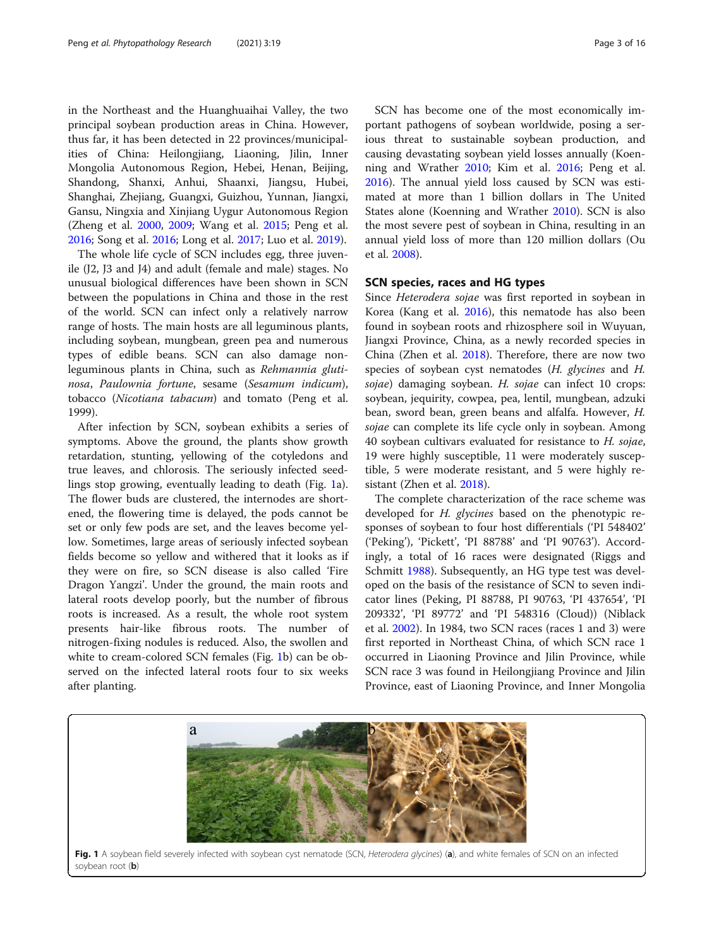in the Northeast and the Huanghuaihai Valley, the two principal soybean production areas in China. However, thus far, it has been detected in 22 provinces/municipalities of China: Heilongjiang, Liaoning, Jilin, Inner Mongolia Autonomous Region, Hebei, Henan, Beijing, Shandong, Shanxi, Anhui, Shaanxi, Jiangsu, Hubei, Shanghai, Zhejiang, Guangxi, Guizhou, Yunnan, Jiangxi, Gansu, Ningxia and Xinjiang Uygur Autonomous Region (Zheng et al. [2000](#page-15-0), [2009](#page-15-0); Wang et al. [2015](#page-15-0); Peng et al. [2016](#page-14-0); Song et al. [2016;](#page-15-0) Long et al. [2017;](#page-14-0) Luo et al. [2019\)](#page-14-0).

The whole life cycle of SCN includes egg, three juvenile (J2, J3 and J4) and adult (female and male) stages. No unusual biological differences have been shown in SCN between the populations in China and those in the rest of the world. SCN can infect only a relatively narrow range of hosts. The main hosts are all leguminous plants, including soybean, mungbean, green pea and numerous types of edible beans. SCN can also damage nonleguminous plants in China, such as Rehmannia glutinosa, Paulownia fortune, sesame (Sesamum indicum), tobacco (Nicotiana tabacum) and tomato (Peng et al. 1999).

After infection by SCN, soybean exhibits a series of symptoms. Above the ground, the plants show growth retardation, stunting, yellowing of the cotyledons and true leaves, and chlorosis. The seriously infected seedlings stop growing, eventually leading to death (Fig. 1a). The flower buds are clustered, the internodes are shortened, the flowering time is delayed, the pods cannot be set or only few pods are set, and the leaves become yellow. Sometimes, large areas of seriously infected soybean fields become so yellow and withered that it looks as if they were on fire, so SCN disease is also called 'Fire Dragon Yangzi'. Under the ground, the main roots and lateral roots develop poorly, but the number of fibrous roots is increased. As a result, the whole root system presents hair-like fibrous roots. The number of nitrogen-fixing nodules is reduced. Also, the swollen and white to cream-colored SCN females (Fig. 1b) can be observed on the infected lateral roots four to six weeks after planting.

SCN has become one of the most economically important pathogens of soybean worldwide, posing a serious threat to sustainable soybean production, and causing devastating soybean yield losses annually (Koenning and Wrather [2010;](#page-13-0) Kim et al. [2016](#page-13-0); Peng et al. [2016](#page-14-0)). The annual yield loss caused by SCN was estimated at more than 1 billion dollars in The United States alone (Koenning and Wrather [2010\)](#page-13-0). SCN is also the most severe pest of soybean in China, resulting in an annual yield loss of more than 120 million dollars (Ou et al. [2008\)](#page-14-0).

### SCN species, races and HG types

Since Heterodera sojae was first reported in soybean in Korea (Kang et al. [2016](#page-13-0)), this nematode has also been found in soybean roots and rhizosphere soil in Wuyuan, Jiangxi Province, China, as a newly recorded species in China (Zhen et al. [2018](#page-15-0)). Therefore, there are now two species of soybean cyst nematodes (H. glycines and H. sojae) damaging soybean. H. sojae can infect 10 crops: soybean, jequirity, cowpea, pea, lentil, mungbean, adzuki bean, sword bean, green beans and alfalfa. However, H. sojae can complete its life cycle only in soybean. Among 40 soybean cultivars evaluated for resistance to H. sojae, 19 were highly susceptible, 11 were moderately susceptible, 5 were moderate resistant, and 5 were highly resistant (Zhen et al. [2018](#page-15-0)).

The complete characterization of the race scheme was developed for *H. glycines* based on the phenotypic responses of soybean to four host differentials ('PI 548402' ('Peking'), 'Pickett', 'PI 88788' and 'PI 90763'). Accordingly, a total of 16 races were designated (Riggs and Schmitt [1988](#page-15-0)). Subsequently, an HG type test was developed on the basis of the resistance of SCN to seven indicator lines (Peking, PI 88788, PI 90763, 'PI 437654', 'PI 209332', 'PI 89772' and 'PI 548316 (Cloud)) (Niblack et al. [2002\)](#page-14-0). In 1984, two SCN races (races 1 and 3) were first reported in Northeast China, of which SCN race 1 occurred in Liaoning Province and Jilin Province, while SCN race 3 was found in Heilongjiang Province and Jilin Province, east of Liaoning Province, and Inner Mongolia

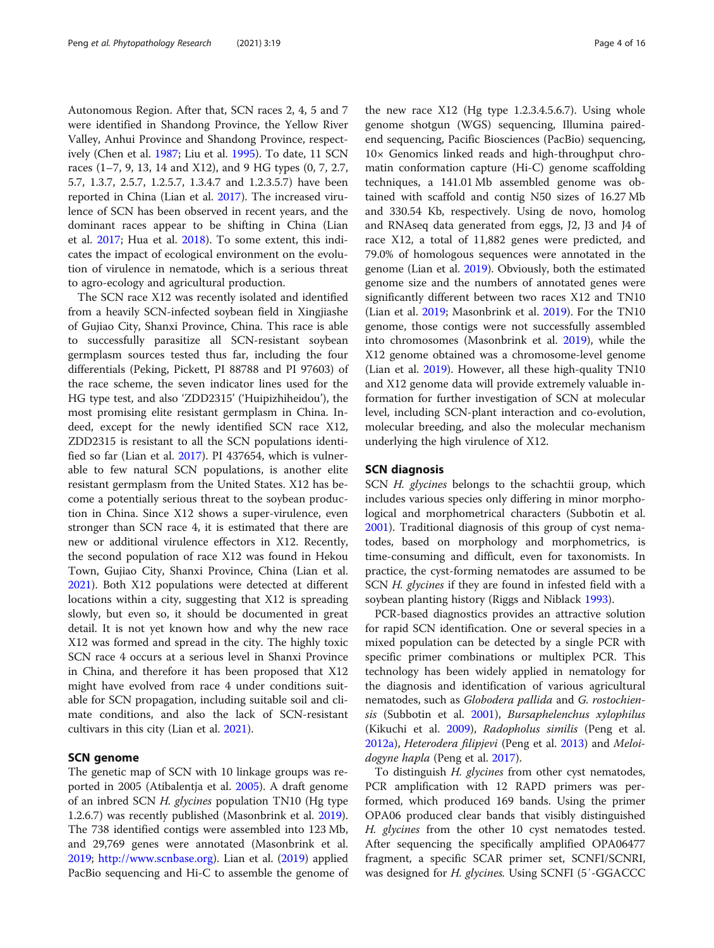Autonomous Region. After that, SCN races 2, 4, 5 and 7 were identified in Shandong Province, the Yellow River Valley, Anhui Province and Shandong Province, respectively (Chen et al. [1987;](#page-12-0) Liu et al. [1995\)](#page-14-0). To date, 11 SCN races (1–7, 9, 13, 14 and X12), and 9 HG types (0, 7, 2.7, 5.7, 1.3.7, 2.5.7, 1.2.5.7, 1.3.4.7 and 1.2.3.5.7) have been reported in China (Lian et al. [2017](#page-13-0)). The increased virulence of SCN has been observed in recent years, and the dominant races appear to be shifting in China (Lian et al. [2017;](#page-13-0) Hua et al. [2018](#page-13-0)). To some extent, this indicates the impact of ecological environment on the evolution of virulence in nematode, which is a serious threat to agro-ecology and agricultural production.

The SCN race X12 was recently isolated and identified from a heavily SCN-infected soybean field in Xingjiashe of Gujiao City, Shanxi Province, China. This race is able to successfully parasitize all SCN-resistant soybean germplasm sources tested thus far, including the four differentials (Peking, Pickett, PI 88788 and PI 97603) of the race scheme, the seven indicator lines used for the HG type test, and also 'ZDD2315' ('Huipizhiheidou'), the most promising elite resistant germplasm in China. Indeed, except for the newly identified SCN race X12, ZDD2315 is resistant to all the SCN populations identified so far (Lian et al. [2017](#page-13-0)). PI 437654, which is vulnerable to few natural SCN populations, is another elite resistant germplasm from the United States. X12 has become a potentially serious threat to the soybean production in China. Since X12 shows a super-virulence, even stronger than SCN race 4, it is estimated that there are new or additional virulence effectors in X12. Recently, the second population of race X12 was found in Hekou Town, Gujiao City, Shanxi Province, China (Lian et al. [2021](#page-13-0)). Both X12 populations were detected at different locations within a city, suggesting that X12 is spreading slowly, but even so, it should be documented in great detail. It is not yet known how and why the new race X12 was formed and spread in the city. The highly toxic SCN race 4 occurs at a serious level in Shanxi Province in China, and therefore it has been proposed that X12 might have evolved from race 4 under conditions suitable for SCN propagation, including suitable soil and climate conditions, and also the lack of SCN-resistant cultivars in this city (Lian et al. [2021](#page-13-0)).

#### SCN genome

The genetic map of SCN with 10 linkage groups was reported in 2005 (Atibalentja et al. [2005](#page-12-0)). A draft genome of an inbred SCN H. glycines population TN10 (Hg type 1.2.6.7) was recently published (Masonbrink et al. [2019](#page-14-0)). The 738 identified contigs were assembled into 123 Mb, and 29,769 genes were annotated (Masonbrink et al. [2019](#page-14-0); [http://www.scnbase.org\)](http://www.scnbase.org). Lian et al. ([2019](#page-14-0)) applied PacBio sequencing and Hi-C to assemble the genome of

the new race X12 (Hg type 1.2.3.4.5.6.7). Using whole genome shotgun (WGS) sequencing, Illumina pairedend sequencing, Pacific Biosciences (PacBio) sequencing, 10× Genomics linked reads and high-throughput chromatin conformation capture (Hi-C) genome scaffolding techniques, a 141.01 Mb assembled genome was obtained with scaffold and contig N50 sizes of 16.27 Mb and 330.54 Kb, respectively. Using de novo, homolog and RNAseq data generated from eggs, J2, J3 and J4 of race X12, a total of 11,882 genes were predicted, and 79.0% of homologous sequences were annotated in the genome (Lian et al. [2019\)](#page-14-0). Obviously, both the estimated genome size and the numbers of annotated genes were significantly different between two races X12 and TN10 (Lian et al. [2019;](#page-14-0) Masonbrink et al. [2019\)](#page-14-0). For the TN10 genome, those contigs were not successfully assembled into chromosomes (Masonbrink et al. [2019\)](#page-14-0), while the X12 genome obtained was a chromosome-level genome (Lian et al. [2019\)](#page-14-0). However, all these high-quality TN10 and X12 genome data will provide extremely valuable information for further investigation of SCN at molecular level, including SCN-plant interaction and co-evolution, molecular breeding, and also the molecular mechanism underlying the high virulence of X12.

#### SCN diagnosis

SCN H. glycines belongs to the schachtii group, which includes various species only differing in minor morphological and morphometrical characters (Subbotin et al. [2001](#page-15-0)). Traditional diagnosis of this group of cyst nematodes, based on morphology and morphometrics, is time-consuming and difficult, even for taxonomists. In practice, the cyst-forming nematodes are assumed to be SCN H. glycines if they are found in infested field with a soybean planting history (Riggs and Niblack [1993](#page-15-0)).

PCR-based diagnostics provides an attractive solution for rapid SCN identification. One or several species in a mixed population can be detected by a single PCR with specific primer combinations or multiplex PCR. This technology has been widely applied in nematology for the diagnosis and identification of various agricultural nematodes, such as Globodera pallida and G. rostochiensis (Subbotin et al. [2001\)](#page-15-0), Bursaphelenchus xylophilus (Kikuchi et al. [2009](#page-13-0)), Radopholus similis (Peng et al. [2012a\)](#page-14-0), Heterodera filipjevi (Peng et al. [2013\)](#page-14-0) and Meloi-dogyne hapla (Peng et al. [2017](#page-14-0)).

To distinguish *H. glycines* from other cyst nematodes, PCR amplification with 12 RAPD primers was performed, which produced 169 bands. Using the primer OPA06 produced clear bands that visibly distinguished H. glycines from the other 10 cyst nematodes tested. After sequencing the specifically amplified OPA06477 fragment, a specific SCAR primer set, SCNFI/SCNRI, was designed for H. glycines. Using SCNFI (5'-GGACCC)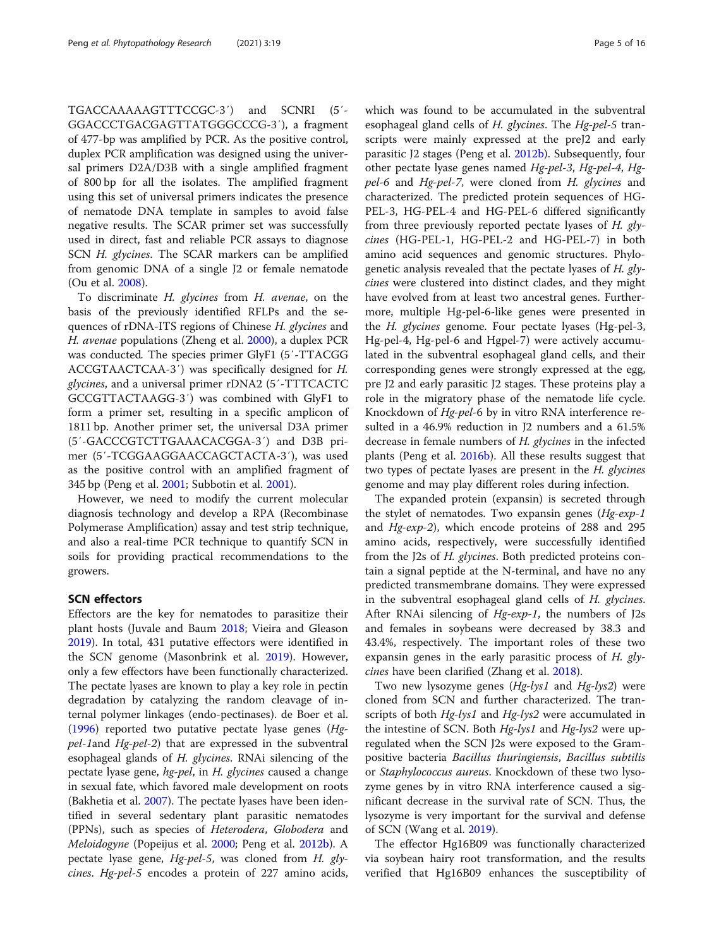TGACCAAAAAGTTTCCGC-3′) and SCNRI (5′- GGACCCTGACGAGTTATGGGCCCG-3′), a fragment of 477-bp was amplified by PCR. As the positive control, duplex PCR amplification was designed using the universal primers D2A/D3B with a single amplified fragment of 800 bp for all the isolates. The amplified fragment using this set of universal primers indicates the presence of nematode DNA template in samples to avoid false negative results. The SCAR primer set was successfully used in direct, fast and reliable PCR assays to diagnose SCN H. glycines. The SCAR markers can be amplified from genomic DNA of a single J2 or female nematode (Ou et al. [2008\)](#page-14-0).

To discriminate H. glycines from H. avenae, on the basis of the previously identified RFLPs and the sequences of rDNA-ITS regions of Chinese H. glycines and H. avenae populations (Zheng et al. [2000\)](#page-15-0), a duplex PCR was conducted. The species primer GlyF1 (5′-TTACGG ACCGTAACTCAA-3′) was specifically designed for H. glycines, and a universal primer rDNA2 (5′-TTTCACTC GCCGTTACTAAGG-3′) was combined with GlyF1 to form a primer set, resulting in a specific amplicon of 1811 bp. Another primer set, the universal D3A primer (5′-GACCCGTCTTGAAACACGGA-3′) and D3B primer (5′-TCGGAAGGAACCAGCTACTA-3′), was used as the positive control with an amplified fragment of 345 bp (Peng et al. [2001;](#page-14-0) Subbotin et al. [2001\)](#page-15-0).

However, we need to modify the current molecular diagnosis technology and develop a RPA (Recombinase Polymerase Amplification) assay and test strip technique, and also a real-time PCR technique to quantify SCN in soils for providing practical recommendations to the growers.

#### SCN effectors

Effectors are the key for nematodes to parasitize their plant hosts (Juvale and Baum [2018](#page-13-0); Vieira and Gleason [2019](#page-15-0)). In total, 431 putative effectors were identified in the SCN genome (Masonbrink et al. [2019](#page-14-0)). However, only a few effectors have been functionally characterized. The pectate lyases are known to play a key role in pectin degradation by catalyzing the random cleavage of internal polymer linkages (endo-pectinases). de Boer et al. ([1996](#page-13-0)) reported two putative pectate lyase genes (Hgpel-1and Hg-pel-2) that are expressed in the subventral esophageal glands of H. glycines. RNAi silencing of the pectate lyase gene, hg-pel, in H. glycines caused a change in sexual fate, which favored male development on roots (Bakhetia et al. [2007\)](#page-12-0). The pectate lyases have been identified in several sedentary plant parasitic nematodes (PPNs), such as species of Heterodera, Globodera and Meloidogyne (Popeijus et al. [2000](#page-15-0); Peng et al. [2012b\)](#page-14-0). A pectate lyase gene, Hg-pel-5, was cloned from H. glycines. Hg-pel-5 encodes a protein of 227 amino acids, which was found to be accumulated in the subventral esophageal gland cells of H. glycines. The Hg-pel-5 transcripts were mainly expressed at the preJ2 and early parasitic J2 stages (Peng et al. [2012b\)](#page-14-0). Subsequently, four other pectate lyase genes named Hg-pel-3, Hg-pel-4, Hgpel-6 and Hg-pel-7, were cloned from H. glycines and characterized. The predicted protein sequences of HG-PEL-3, HG-PEL-4 and HG-PEL-6 differed significantly from three previously reported pectate lyases of H. glycines (HG-PEL-1, HG-PEL-2 and HG-PEL-7) in both amino acid sequences and genomic structures. Phylogenetic analysis revealed that the pectate lyases of  $H$ . glycines were clustered into distinct clades, and they might have evolved from at least two ancestral genes. Furthermore, multiple Hg-pel-6-like genes were presented in the H. glycines genome. Four pectate lyases (Hg-pel-3, Hg-pel-4, Hg-pel-6 and Hgpel-7) were actively accumulated in the subventral esophageal gland cells, and their corresponding genes were strongly expressed at the egg, pre J2 and early parasitic J2 stages. These proteins play a role in the migratory phase of the nematode life cycle. Knockdown of Hg-pel-6 by in vitro RNA interference resulted in a 46.9% reduction in J2 numbers and a 61.5% decrease in female numbers of H. glycines in the infected plants (Peng et al. [2016b\)](#page-14-0). All these results suggest that two types of pectate lyases are present in the H. glycines genome and may play different roles during infection.

The expanded protein (expansin) is secreted through the stylet of nematodes. Two expansin genes  $(Hg\text{-}exp\text{-}1$ and Hg-exp-2), which encode proteins of 288 and 295 amino acids, respectively, were successfully identified from the J2s of H. glycines. Both predicted proteins contain a signal peptide at the N-terminal, and have no any predicted transmembrane domains. They were expressed in the subventral esophageal gland cells of H. glycines. After RNAi silencing of Hg-exp-1, the numbers of J2s and females in soybeans were decreased by 38.3 and 43.4%, respectively. The important roles of these two expansin genes in the early parasitic process of  $H$ . glycines have been clarified (Zhang et al. [2018\)](#page-15-0).

Two new lysozyme genes (Hg-lys1 and Hg-lys2) were cloned from SCN and further characterized. The transcripts of both Hg-lys1 and Hg-lys2 were accumulated in the intestine of SCN. Both  $Hg$ -lys1 and  $Hg$ -lys2 were upregulated when the SCN J2s were exposed to the Grampositive bacteria Bacillus thuringiensis, Bacillus subtilis or Staphylococcus aureus. Knockdown of these two lysozyme genes by in vitro RNA interference caused a significant decrease in the survival rate of SCN. Thus, the lysozyme is very important for the survival and defense of SCN (Wang et al. [2019](#page-15-0)).

The effector Hg16B09 was functionally characterized via soybean hairy root transformation, and the results verified that Hg16B09 enhances the susceptibility of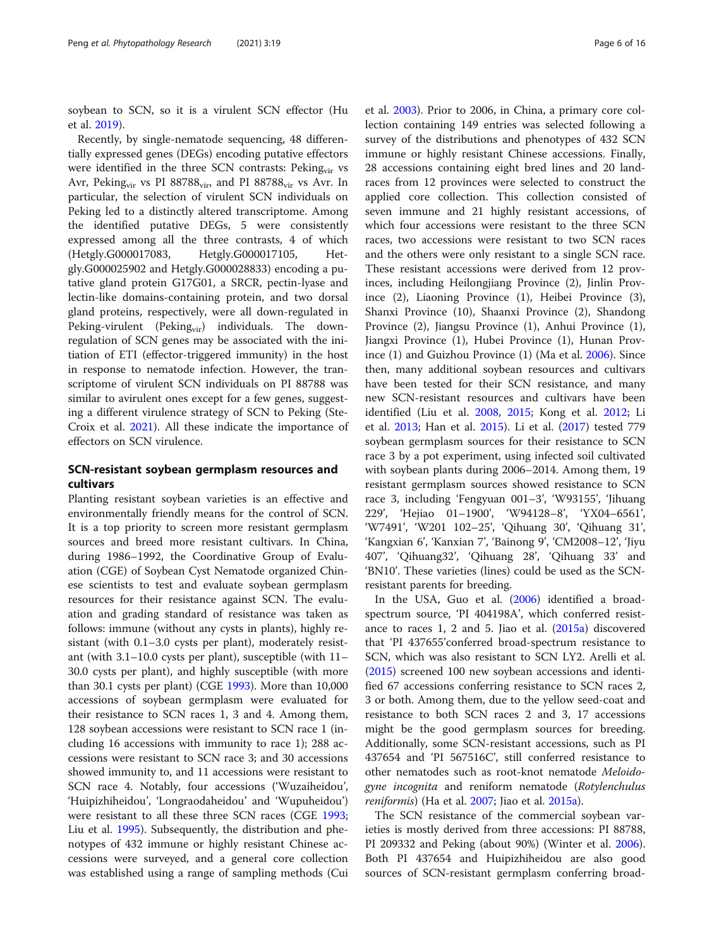soybean to SCN, so it is a virulent SCN effector (Hu et al. [2019\)](#page-13-0).

Recently, by single-nematode sequencing, 48 differentially expressed genes (DEGs) encoding putative effectors were identified in the three SCN contrasts: Peking<sub>vir</sub> vs Avr, Peking<sub>vir</sub> vs PI 88788 $_{vir}$ , and PI 88788 $_{vir}$  vs Avr. In particular, the selection of virulent SCN individuals on Peking led to a distinctly altered transcriptome. Among the identified putative DEGs, 5 were consistently expressed among all the three contrasts, 4 of which (Hetgly.G000017083, Hetgly.G000017105, Hetgly.G000025902 and Hetgly.G000028833) encoding a putative gland protein G17G01, a SRCR, pectin-lyase and lectin-like domains-containing protein, and two dorsal gland proteins, respectively, were all down-regulated in Peking-virulent (Peking<sub>vir</sub>) individuals. The downregulation of SCN genes may be associated with the initiation of ETI (effector-triggered immunity) in the host in response to nematode infection. However, the transcriptome of virulent SCN individuals on PI 88788 was similar to avirulent ones except for a few genes, suggesting a different virulence strategy of SCN to Peking (Ste-Croix et al. [2021](#page-15-0)). All these indicate the importance of effectors on SCN virulence.

# SCN-resistant soybean germplasm resources and cultivars

Planting resistant soybean varieties is an effective and environmentally friendly means for the control of SCN. It is a top priority to screen more resistant germplasm sources and breed more resistant cultivars. In China, during 1986–1992, the Coordinative Group of Evaluation (CGE) of Soybean Cyst Nematode organized Chinese scientists to test and evaluate soybean germplasm resources for their resistance against SCN. The evaluation and grading standard of resistance was taken as follows: immune (without any cysts in plants), highly resistant (with 0.1–3.0 cysts per plant), moderately resistant (with 3.1–10.0 cysts per plant), susceptible (with 11– 30.0 cysts per plant), and highly susceptible (with more than 30.1 cysts per plant) (CGE [1993\)](#page-12-0). More than 10,000 accessions of soybean germplasm were evaluated for their resistance to SCN races 1, 3 and 4. Among them, 128 soybean accessions were resistant to SCN race 1 (including 16 accessions with immunity to race 1); 288 accessions were resistant to SCN race 3; and 30 accessions showed immunity to, and 11 accessions were resistant to SCN race 4. Notably, four accessions ('Wuzaiheidou', 'Huipizhiheidou', 'Longraodaheidou' and 'Wupuheidou') were resistant to all these three SCN races (CGE [1993](#page-12-0); Liu et al. [1995](#page-14-0)). Subsequently, the distribution and phenotypes of 432 immune or highly resistant Chinese accessions were surveyed, and a general core collection was established using a range of sampling methods (Cui

et al. [2003\)](#page-12-0). Prior to 2006, in China, a primary core collection containing 149 entries was selected following a survey of the distributions and phenotypes of 432 SCN immune or highly resistant Chinese accessions. Finally, 28 accessions containing eight bred lines and 20 landraces from 12 provinces were selected to construct the applied core collection. This collection consisted of seven immune and 21 highly resistant accessions, of which four accessions were resistant to the three SCN races, two accessions were resistant to two SCN races and the others were only resistant to a single SCN race. These resistant accessions were derived from 12 provinces, including Heilongjiang Province (2), Jinlin Province (2), Liaoning Province (1), Heibei Province (3), Shanxi Province (10), Shaanxi Province (2), Shandong Province (2), Jiangsu Province (1), Anhui Province (1), Jiangxi Province (1), Hubei Province (1), Hunan Province (1) and Guizhou Province (1) (Ma et al. [2006\)](#page-14-0). Since then, many additional soybean resources and cultivars have been tested for their SCN resistance, and many new SCN-resistant resources and cultivars have been identified (Liu et al. [2008](#page-14-0), [2015;](#page-14-0) Kong et al. [2012](#page-13-0); Li et al. [2013;](#page-13-0) Han et al. [2015](#page-13-0)). Li et al. [\(2017\)](#page-13-0) tested 779 soybean germplasm sources for their resistance to SCN race 3 by a pot experiment, using infected soil cultivated with soybean plants during 2006–2014. Among them, 19 resistant germplasm sources showed resistance to SCN race 3, including 'Fengyuan 001–3', 'W93155', 'Jihuang 229', 'Hejiao 01–1900', 'W94128–8', 'YX04–6561', 'W7491', 'W201 102–25', 'Qihuang 30', 'Qihuang 31', 'Kangxian 6', 'Kanxian 7', 'Bainong 9', 'CM2008–12', 'Jiyu 407', 'Qihuang32', 'Qihuang 28', 'Qihuang 33' and 'BN10'. These varieties (lines) could be used as the SCNresistant parents for breeding.

In the USA, Guo et al. [\(2006\)](#page-13-0) identified a broadspectrum source, 'PI 404198A', which conferred resistance to races 1, 2 and 5. Jiao et al. ([2015a\)](#page-13-0) discovered that 'PI 437655'conferred broad-spectrum resistance to SCN, which was also resistant to SCN LY2. Arelli et al. ([2015\)](#page-12-0) screened 100 new soybean accessions and identified 67 accessions conferring resistance to SCN races 2, 3 or both. Among them, due to the yellow seed-coat and resistance to both SCN races 2 and 3, 17 accessions might be the good germplasm sources for breeding. Additionally, some SCN-resistant accessions, such as PI 437654 and 'PI 567516C', still conferred resistance to other nematodes such as root-knot nematode Meloidogyne incognita and reniform nematode (Rotylenchulus reniformis) (Ha et al. [2007;](#page-13-0) Jiao et al. [2015a\)](#page-13-0).

The SCN resistance of the commercial soybean varieties is mostly derived from three accessions: PI 88788, PI 209332 and Peking (about 90%) (Winter et al. [2006](#page-15-0)). Both PI 437654 and Huipizhiheidou are also good sources of SCN-resistant germplasm conferring broad-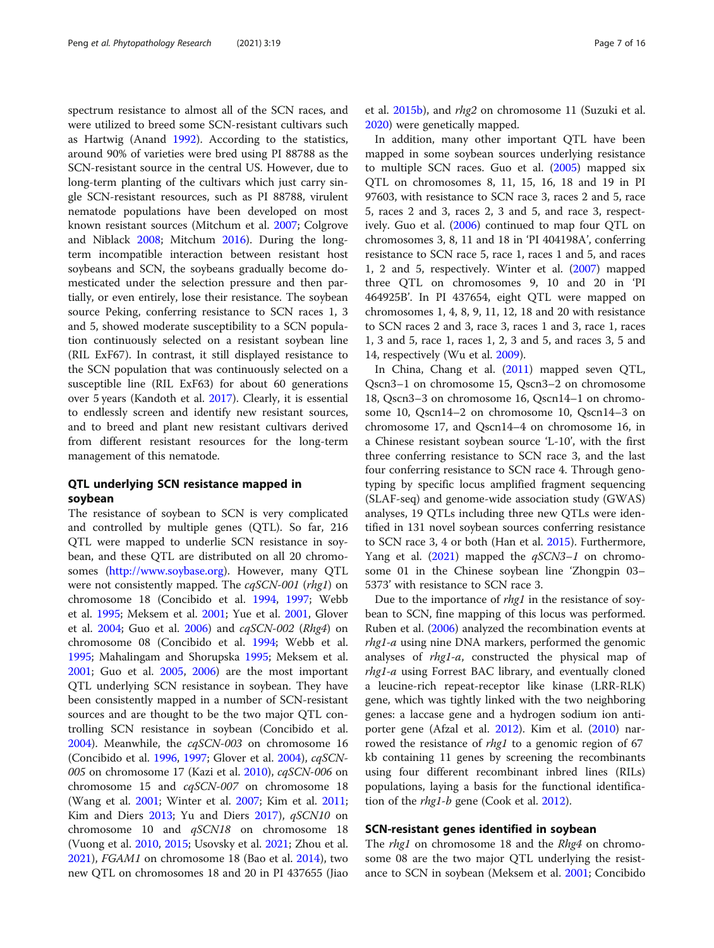spectrum resistance to almost all of the SCN races, and were utilized to breed some SCN-resistant cultivars such as Hartwig (Anand [1992\)](#page-12-0). According to the statistics, around 90% of varieties were bred using PI 88788 as the SCN-resistant source in the central US. However, due to long-term planting of the cultivars which just carry single SCN-resistant resources, such as PI 88788, virulent nematode populations have been developed on most known resistant sources (Mitchum et al. [2007](#page-14-0); Colgrove and Niblack [2008](#page-12-0); Mitchum [2016](#page-14-0)). During the longterm incompatible interaction between resistant host soybeans and SCN, the soybeans gradually become domesticated under the selection pressure and then partially, or even entirely, lose their resistance. The soybean source Peking, conferring resistance to SCN races 1, 3 and 5, showed moderate susceptibility to a SCN population continuously selected on a resistant soybean line (RIL ExF67). In contrast, it still displayed resistance to the SCN population that was continuously selected on a susceptible line (RIL ExF63) for about 60 generations over 5 years (Kandoth et al. [2017\)](#page-13-0). Clearly, it is essential to endlessly screen and identify new resistant sources, and to breed and plant new resistant cultivars derived from different resistant resources for the long-term management of this nematode.

# QTL underlying SCN resistance mapped in soybean

The resistance of soybean to SCN is very complicated and controlled by multiple genes (QTL). So far, 216 QTL were mapped to underlie SCN resistance in soybean, and these QTL are distributed on all 20 chromosomes [\(http://www.soybase.org\)](http://www.soybase.org). However, many QTL were not consistently mapped. The cqSCN-001 (rhg1) on chromosome 18 (Concibido et al. [1994](#page-12-0), [1997](#page-12-0); Webb et al. [1995](#page-15-0); Meksem et al. [2001](#page-14-0); Yue et al. [2001](#page-15-0), Glover et al. [2004](#page-13-0); Guo et al. [2006\)](#page-13-0) and cqSCN-002 (Rhg4) on chromosome 08 (Concibido et al. [1994](#page-12-0); Webb et al. [1995](#page-15-0); Mahalingam and Shorupska [1995](#page-14-0); Meksem et al. [2001](#page-14-0); Guo et al. [2005](#page-13-0), [2006](#page-13-0)) are the most important QTL underlying SCN resistance in soybean. They have been consistently mapped in a number of SCN-resistant sources and are thought to be the two major QTL controlling SCN resistance in soybean (Concibido et al. [2004](#page-12-0)). Meanwhile, the cqSCN-003 on chromosome 16 (Concibido et al. [1996,](#page-12-0) [1997;](#page-12-0) Glover et al. [2004](#page-13-0)), cqSCN-005 on chromosome 17 (Kazi et al. [2010](#page-13-0)), cqSCN-006 on chromosome 15 and cqSCN-007 on chromosome 18 (Wang et al. [2001;](#page-15-0) Winter et al. [2007;](#page-15-0) Kim et al. [2011](#page-13-0); Kim and Diers [2013;](#page-13-0) Yu and Diers [2017](#page-15-0)), qSCN10 on chromosome 10 and qSCN18 on chromosome 18 (Vuong et al. [2010](#page-15-0), [2015](#page-15-0); Usovsky et al. [2021](#page-15-0); Zhou et al. [2021](#page-15-0)), FGAM1 on chromosome 18 (Bao et al. [2014](#page-12-0)), two new QTL on chromosomes 18 and 20 in PI 437655 (Jiao et al. [2015b\)](#page-13-0), and rhg2 on chromosome 11 (Suzuki et al. [2020](#page-15-0)) were genetically mapped.

In addition, many other important QTL have been mapped in some soybean sources underlying resistance to multiple SCN races. Guo et al. ([2005](#page-13-0)) mapped six QTL on chromosomes 8, 11, 15, 16, 18 and 19 in PI 97603, with resistance to SCN race 3, races 2 and 5, race 5, races 2 and 3, races 2, 3 and 5, and race 3, respectively. Guo et al. [\(2006\)](#page-13-0) continued to map four QTL on chromosomes 3, 8, 11 and 18 in 'PI 404198A', conferring resistance to SCN race 5, race 1, races 1 and 5, and races 1, 2 and 5, respectively. Winter et al. [\(2007\)](#page-15-0) mapped three QTL on chromosomes 9, 10 and 20 in 'PI 464925B'. In PI 437654, eight QTL were mapped on chromosomes 1, 4, 8, 9, 11, 12, 18 and 20 with resistance to SCN races 2 and 3, race 3, races 1 and 3, race 1, races 1, 3 and 5, race 1, races 1, 2, 3 and 5, and races 3, 5 and 14, respectively (Wu et al. [2009\)](#page-15-0).

In China, Chang et al. [\(2011\)](#page-12-0) mapped seven QTL, Qscn3–1 on chromosome 15, Qscn3–2 on chromosome 18, Qscn3–3 on chromosome 16, Qscn14–1 on chromosome 10, Qscn14–2 on chromosome 10, Qscn14–3 on chromosome 17, and Qscn14–4 on chromosome 16, in a Chinese resistant soybean source 'L-10', with the first three conferring resistance to SCN race 3, and the last four conferring resistance to SCN race 4. Through genotyping by specific locus amplified fragment sequencing (SLAF-seq) and genome-wide association study (GWAS) analyses, 19 QTLs including three new QTLs were identified in 131 novel soybean sources conferring resistance to SCN race 3, 4 or both (Han et al. [2015\)](#page-13-0). Furthermore, Yang et al.  $(2021)$  mapped the  $qSCN3-1$  on chromosome 01 in the Chinese soybean line 'Zhongpin 03– 5373' with resistance to SCN race 3.

Due to the importance of *rhg1* in the resistance of soybean to SCN, fine mapping of this locus was performed. Ruben et al. ([2006\)](#page-15-0) analyzed the recombination events at rhg1-a using nine DNA markers, performed the genomic analyses of rhg1-a, constructed the physical map of rhg1-a using Forrest BAC library, and eventually cloned a leucine-rich repeat-receptor like kinase (LRR-RLK) gene, which was tightly linked with the two neighboring genes: a laccase gene and a hydrogen sodium ion antiporter gene (Afzal et al. [2012\)](#page-12-0). Kim et al. [\(2010\)](#page-13-0) narrowed the resistance of rhg1 to a genomic region of 67 kb containing 11 genes by screening the recombinants using four different recombinant inbred lines (RILs) populations, laying a basis for the functional identification of the *rhg1-b* gene (Cook et al. [2012\)](#page-12-0).

#### SCN-resistant genes identified in soybean

The *rhg1* on chromosome 18 and the *Rhg4* on chromosome 08 are the two major QTL underlying the resistance to SCN in soybean (Meksem et al. [2001](#page-14-0); Concibido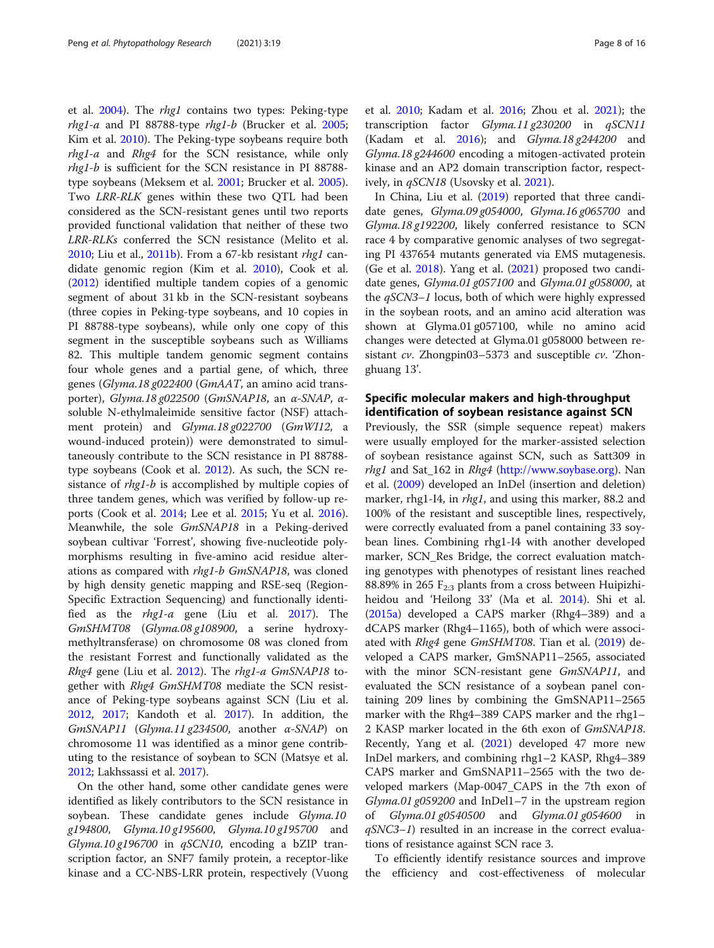et al. [2004](#page-12-0)). The rhg1 contains two types: Peking-type rhg1-a and PI 88788-type rhg1-b (Brucker et al. [2005](#page-12-0); Kim et al. [2010](#page-13-0)). The Peking-type soybeans require both rhg1-a and Rhg4 for the SCN resistance, while only rhg1-b is sufficient for the SCN resistance in PI 88788 type soybeans (Meksem et al. [2001](#page-14-0); Brucker et al. [2005](#page-12-0)). Two LRR-RLK genes within these two QTL had been considered as the SCN-resistant genes until two reports provided functional validation that neither of these two LRR-RLKs conferred the SCN resistance (Melito et al. [2010](#page-14-0); Liu et al., [2011b](#page-14-0)). From a 67-kb resistant rhg1 candidate genomic region (Kim et al. [2010\)](#page-13-0), Cook et al. ([2012](#page-12-0)) identified multiple tandem copies of a genomic segment of about 31 kb in the SCN-resistant soybeans (three copies in Peking-type soybeans, and 10 copies in PI 88788-type soybeans), while only one copy of this segment in the susceptible soybeans such as Williams 82. This multiple tandem genomic segment contains four whole genes and a partial gene, of which, three genes (Glyma.18 g022400 (GmAAT, an amino acid transporter), Glyma.18 g022500 (GmSNAP18, an α-SNAP, αsoluble N-ethylmaleimide sensitive factor (NSF) attachment protein) and Glyma.18 g022700 (GmWI12, a wound-induced protein)) were demonstrated to simultaneously contribute to the SCN resistance in PI 88788 type soybeans (Cook et al. [2012\)](#page-12-0). As such, the SCN resistance of *rhg1-b* is accomplished by multiple copies of three tandem genes, which was verified by follow-up reports (Cook et al. [2014](#page-12-0); Lee et al. [2015;](#page-13-0) Yu et al. [2016](#page-15-0)). Meanwhile, the sole GmSNAP18 in a Peking-derived soybean cultivar 'Forrest', showing five-nucleotide polymorphisms resulting in five-amino acid residue alterations as compared with *rhg1-b GmSNAP18*, was cloned by high density genetic mapping and RSE-seq (Region-Specific Extraction Sequencing) and functionally identified as the rhg1-a gene (Liu et al. [2017](#page-14-0)). The GmSHMT08 (Glyma.08 g108900, a serine hydroxymethyltransferase) on chromosome 08 was cloned from the resistant Forrest and functionally validated as the Rhg4 gene (Liu et al. [2012\)](#page-14-0). The *rhg1-a GmSNAP18* together with Rhg4 GmSHMT08 mediate the SCN resistance of Peking-type soybeans against SCN (Liu et al. [2012](#page-14-0), [2017](#page-14-0); Kandoth et al. [2017\)](#page-13-0). In addition, the  $GmSNAPI1$  (Glyma.11 g234500, another  $\alpha$ -SNAP) on chromosome 11 was identified as a minor gene contributing to the resistance of soybean to SCN (Matsye et al. [2012](#page-14-0); Lakhssassi et al. [2017\)](#page-13-0).

On the other hand, some other candidate genes were identified as likely contributors to the SCN resistance in soybean. These candidate genes include Glyma.10 g194800, Glyma.10 g195600, Glyma.10 g195700 and Glyma.10 g196700 in  $qSCN10$ , encoding a bZIP transcription factor, an SNF7 family protein, a receptor-like kinase and a CC-NBS-LRR protein, respectively (Vuong et al. [2010](#page-15-0); Kadam et al. [2016](#page-13-0); Zhou et al. [2021\)](#page-15-0); the transcription factor Glyma.11 g230200 in qSCN11 (Kadam et al.  $2016$ ); and  $Glyma.18 g244200$  and Glyma.18 g244600 encoding a mitogen-activated protein kinase and an AP2 domain transcription factor, respect-ively, in qSCN18 (Usovsky et al. [2021](#page-15-0)).

In China, Liu et al. ([2019](#page-14-0)) reported that three candidate genes, Glyma.09 g054000, Glyma.16 g065700 and Glyma.18 g192200, likely conferred resistance to SCN race 4 by comparative genomic analyses of two segregating PI 437654 mutants generated via EMS mutagenesis. (Ge et al. [2018\)](#page-13-0). Yang et al. ([2021](#page-15-0)) proposed two candidate genes, Glyma.01 g057100 and Glyma.01 g058000, at the qSCN3–1 locus, both of which were highly expressed in the soybean roots, and an amino acid alteration was shown at Glyma.01 g057100, while no amino acid changes were detected at Glyma.01 g058000 between resistant cv. Zhongpin03–5373 and susceptible cv. 'Zhonghuang 13'.

# Specific molecular makers and high-throughput identification of soybean resistance against SCN

Previously, the SSR (simple sequence repeat) makers were usually employed for the marker-assisted selection of soybean resistance against SCN, such as Satt309 in rhg1 and Sat\_162 in Rhg4 [\(http://www.soybase.org\)](http://www.soybase.org). Nan et al. [\(2009](#page-14-0)) developed an InDel (insertion and deletion) marker, rhg1-I4, in *rhg1*, and using this marker, 88.2 and 100% of the resistant and susceptible lines, respectively, were correctly evaluated from a panel containing 33 soybean lines. Combining rhg1-I4 with another developed marker, SCN\_Res Bridge, the correct evaluation matching genotypes with phenotypes of resistant lines reached 88.89% in 265  $F_{2:3}$  plants from a cross between Huipizhiheidou and 'Heilong 33' (Ma et al. [2014\)](#page-14-0). Shi et al. ([2015a\)](#page-15-0) developed a CAPS marker (Rhg4–389) and a dCAPS marker (Rhg4–1165), both of which were associ-ated with Rhg4 gene GmSHMT08. Tian et al. [\(2019\)](#page-15-0) developed a CAPS marker, GmSNAP11–2565, associated with the minor SCN-resistant gene GmSNAP11, and evaluated the SCN resistance of a soybean panel containing 209 lines by combining the GmSNAP11–2565 marker with the Rhg4–389 CAPS marker and the rhg1– 2 KASP marker located in the 6th exon of GmSNAP18. Recently, Yang et al. ([2021](#page-15-0)) developed 47 more new InDel markers, and combining rhg1–2 KASP, Rhg4–389 CAPS marker and GmSNAP11–2565 with the two developed markers (Map-0047\_CAPS in the 7th exon of Glyma.01 g059200 and InDel1–7 in the upstream region of Glyma.01 g0540500 and Glyma.01 g054600 in  $qSNC3-1$ ) resulted in an increase in the correct evaluations of resistance against SCN race 3.

To efficiently identify resistance sources and improve the efficiency and cost-effectiveness of molecular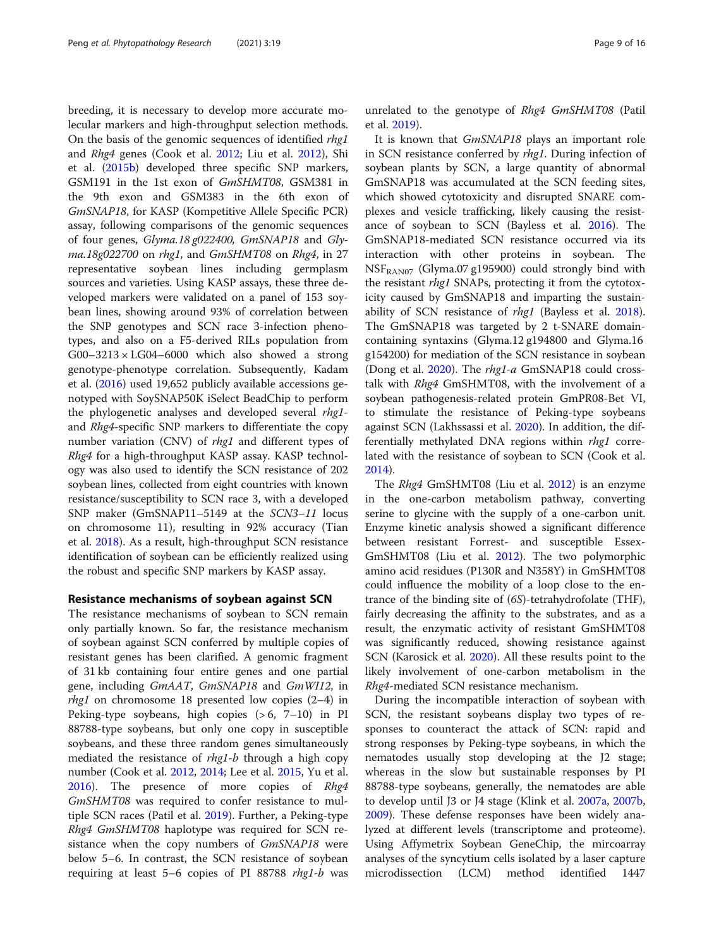breeding, it is necessary to develop more accurate molecular markers and high-throughput selection methods. On the basis of the genomic sequences of identified rhg1 and Rhg4 genes (Cook et al. [2012](#page-12-0); Liu et al. [2012](#page-14-0)), Shi et al. [\(2015b\)](#page-15-0) developed three specific SNP markers, GSM191 in the 1st exon of GmSHMT08, GSM381 in the 9th exon and GSM383 in the 6th exon of GmSNAP18, for KASP (Kompetitive Allele Specific PCR) assay, following comparisons of the genomic sequences of four genes, Glyma.18 g022400, GmSNAP18 and Glyma.18g022700 on rhg1, and GmSHMT08 on Rhg4, in 27 representative soybean lines including germplasm sources and varieties. Using KASP assays, these three developed markers were validated on a panel of 153 soybean lines, showing around 93% of correlation between the SNP genotypes and SCN race 3-infection phenotypes, and also on a F5-derived RILs population from G00–3213  $\times$  LG04–6000 which also showed a strong genotype-phenotype correlation. Subsequently, Kadam et al. ([2016](#page-13-0)) used 19,652 publicly available accessions genotyped with SoySNAP50K iSelect BeadChip to perform the phylogenetic analyses and developed several *rhg1*and Rhg4-specific SNP markers to differentiate the copy number variation (CNV) of *rhg1* and different types of Rhg4 for a high-throughput KASP assay. KASP technology was also used to identify the SCN resistance of 202 soybean lines, collected from eight countries with known resistance/susceptibility to SCN race 3, with a developed SNP maker (GmSNAP11–5149 at the SCN3–11 locus on chromosome 11), resulting in 92% accuracy (Tian et al. [2018](#page-15-0)). As a result, high-throughput SCN resistance identification of soybean can be efficiently realized using the robust and specific SNP markers by KASP assay.

#### Resistance mechanisms of soybean against SCN

The resistance mechanisms of soybean to SCN remain only partially known. So far, the resistance mechanism of soybean against SCN conferred by multiple copies of resistant genes has been clarified. A genomic fragment of 31 kb containing four entire genes and one partial gene, including GmAAT, GmSNAP18 and GmWI12, in *rhg1* on chromosome 18 presented low copies  $(2-4)$  in Peking-type soybeans, high copies  $(>6, 7-10)$  in PI 88788-type soybeans, but only one copy in susceptible soybeans, and these three random genes simultaneously mediated the resistance of  $rhgl-b$  through a high copy number (Cook et al. [2012,](#page-12-0) [2014;](#page-12-0) Lee et al. [2015](#page-13-0), Yu et al. [2016](#page-15-0)). The presence of more copies of Rhg4 GmSHMT08 was required to confer resistance to multiple SCN races (Patil et al. [2019](#page-14-0)). Further, a Peking-type Rhg4 GmSHMT08 haplotype was required for SCN resistance when the copy numbers of GmSNAP18 were below 5–6. In contrast, the SCN resistance of soybean requiring at least 5–6 copies of PI 88788 rhg1-b was unrelated to the genotype of Rhg4 GmSHMT08 (Patil et al. [2019\)](#page-14-0).

It is known that GmSNAP18 plays an important role in SCN resistance conferred by rhg1. During infection of soybean plants by SCN, a large quantity of abnormal GmSNAP18 was accumulated at the SCN feeding sites, which showed cytotoxicity and disrupted SNARE complexes and vesicle trafficking, likely causing the resistance of soybean to SCN (Bayless et al. [2016\)](#page-12-0). The GmSNAP18-mediated SCN resistance occurred via its interaction with other proteins in soybean. The  $NSF_{RAM07}$  (Glyma.07 g195900) could strongly bind with the resistant *rhg1* SNAPs, protecting it from the cytotoxicity caused by GmSNAP18 and imparting the sustainability of SCN resistance of rhg1 (Bayless et al. [2018](#page-12-0)). The GmSNAP18 was targeted by 2 t-SNARE domaincontaining syntaxins (Glyma.12 g194800 and Glyma.16 g154200) for mediation of the SCN resistance in soybean (Dong et al. [2020\)](#page-13-0). The rhg1-a GmSNAP18 could crosstalk with Rhg4 GmSHMT08, with the involvement of a soybean pathogenesis-related protein GmPR08-Bet VI, to stimulate the resistance of Peking-type soybeans against SCN (Lakhssassi et al. [2020](#page-13-0)). In addition, the differentially methylated DNA regions within *rhg1* correlated with the resistance of soybean to SCN (Cook et al. [2014](#page-12-0)).

The Rhg4 GmSHMT08 (Liu et al. [2012](#page-14-0)) is an enzyme in the one-carbon metabolism pathway, converting serine to glycine with the supply of a one-carbon unit. Enzyme kinetic analysis showed a significant difference between resistant Forrest- and susceptible Essex-GmSHMT08 (Liu et al. [2012](#page-14-0)). The two polymorphic amino acid residues (P130R and N358Y) in GmSHMT08 could influence the mobility of a loop close to the entrance of the binding site of (6S)-tetrahydrofolate (THF), fairly decreasing the affinity to the substrates, and as a result, the enzymatic activity of resistant GmSHMT08 was significantly reduced, showing resistance against SCN (Karosick et al. [2020\)](#page-13-0). All these results point to the likely involvement of one-carbon metabolism in the Rhg4-mediated SCN resistance mechanism.

During the incompatible interaction of soybean with SCN, the resistant soybeans display two types of responses to counteract the attack of SCN: rapid and strong responses by Peking-type soybeans, in which the nematodes usually stop developing at the J2 stage; whereas in the slow but sustainable responses by PI 88788-type soybeans, generally, the nematodes are able to develop until J3 or J4 stage (Klink et al. [2007a](#page-13-0), [2007b](#page-13-0), [2009](#page-13-0)). These defense responses have been widely analyzed at different levels (transcriptome and proteome). Using Affymetrix Soybean GeneChip, the mircoarray analyses of the syncytium cells isolated by a laser capture microdissection (LCM) method identified 1447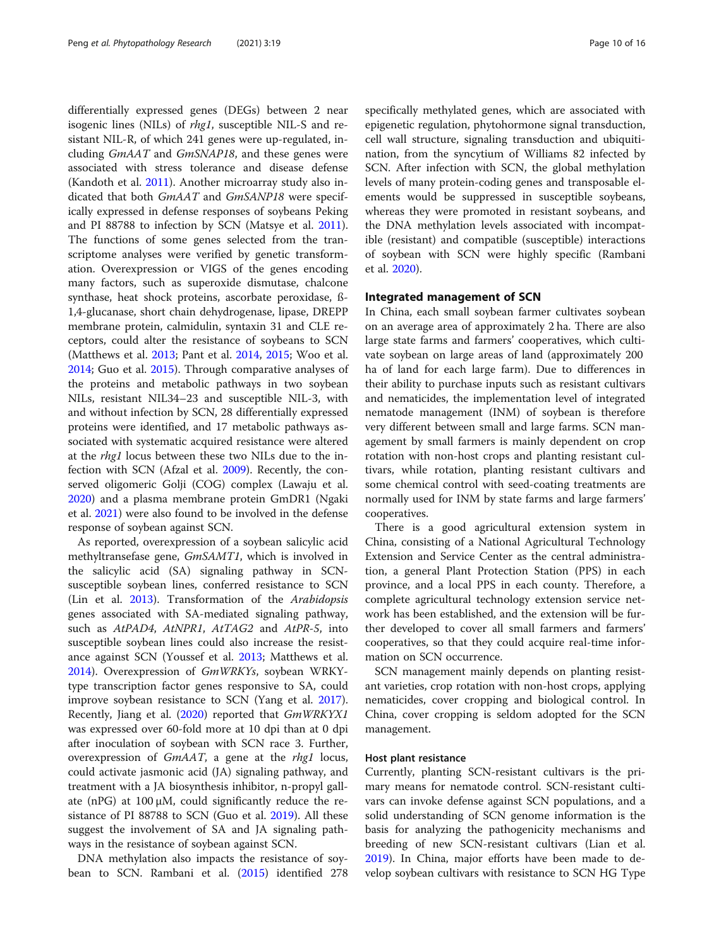differentially expressed genes (DEGs) between 2 near isogenic lines (NILs) of rhg1, susceptible NIL-S and resistant NIL-R, of which 241 genes were up-regulated, including  $GmAAT$  and  $GmSNAP18$ , and these genes were associated with stress tolerance and disease defense (Kandoth et al. [2011](#page-13-0)). Another microarray study also indicated that both GmAAT and GmSANP18 were specifically expressed in defense responses of soybeans Peking and PI 88788 to infection by SCN (Matsye et al. [2011](#page-14-0)). The functions of some genes selected from the transcriptome analyses were verified by genetic transformation. Overexpression or VIGS of the genes encoding many factors, such as superoxide dismutase, chalcone synthase, heat shock proteins, ascorbate peroxidase, ß-1,4-glucanase, short chain dehydrogenase, lipase, DREPP membrane protein, calmidulin, syntaxin 31 and CLE receptors, could alter the resistance of soybeans to SCN (Matthews et al. [2013](#page-14-0); Pant et al. [2014,](#page-14-0) [2015;](#page-14-0) Woo et al. [2014](#page-15-0); Guo et al. [2015](#page-13-0)). Through comparative analyses of the proteins and metabolic pathways in two soybean NILs, resistant NIL34–23 and susceptible NIL-3, with and without infection by SCN, 28 differentially expressed proteins were identified, and 17 metabolic pathways associated with systematic acquired resistance were altered at the rhg1 locus between these two NILs due to the infection with SCN (Afzal et al. [2009](#page-12-0)). Recently, the conserved oligomeric Golji (COG) complex (Lawaju et al. [2020](#page-13-0)) and a plasma membrane protein GmDR1 (Ngaki et al. [2021\)](#page-14-0) were also found to be involved in the defense response of soybean against SCN.

As reported, overexpression of a soybean salicylic acid methyltransefase gene, GmSAMT1, which is involved in the salicylic acid (SA) signaling pathway in SCNsusceptible soybean lines, conferred resistance to SCN (Lin et al. [2013\)](#page-14-0). Transformation of the Arabidopsis genes associated with SA-mediated signaling pathway, such as AtPAD4, AtNPR1, AtTAG2 and AtPR-5, into susceptible soybean lines could also increase the resistance against SCN (Youssef et al. [2013;](#page-15-0) Matthews et al. [2014](#page-14-0)). Overexpression of GmWRKYs, soybean WRKYtype transcription factor genes responsive to SA, could improve soybean resistance to SCN (Yang et al. [2017](#page-15-0)). Recently, Jiang et al. [\(2020](#page-13-0)) reported that GmWRKYX1 was expressed over 60-fold more at 10 dpi than at 0 dpi after inoculation of soybean with SCN race 3. Further, overexpression of GmAAT, a gene at the rhg1 locus, could activate jasmonic acid (JA) signaling pathway, and treatment with a JA biosynthesis inhibitor, n-propyl gallate (nPG) at 100 μM, could significantly reduce the resistance of PI 88788 to SCN (Guo et al. [2019](#page-13-0)). All these suggest the involvement of SA and JA signaling pathways in the resistance of soybean against SCN.

DNA methylation also impacts the resistance of soybean to SCN. Rambani et al. [\(2015\)](#page-15-0) identified 278 specifically methylated genes, which are associated with epigenetic regulation, phytohormone signal transduction, cell wall structure, signaling transduction and ubiquitination, from the syncytium of Williams 82 infected by SCN. After infection with SCN, the global methylation levels of many protein-coding genes and transposable elements would be suppressed in susceptible soybeans, whereas they were promoted in resistant soybeans, and the DNA methylation levels associated with incompatible (resistant) and compatible (susceptible) interactions of soybean with SCN were highly specific (Rambani et al. [2020\)](#page-15-0).

#### Integrated management of SCN

In China, each small soybean farmer cultivates soybean on an average area of approximately 2 ha. There are also large state farms and farmers' cooperatives, which cultivate soybean on large areas of land (approximately 200 ha of land for each large farm). Due to differences in their ability to purchase inputs such as resistant cultivars and nematicides, the implementation level of integrated nematode management (INM) of soybean is therefore very different between small and large farms. SCN management by small farmers is mainly dependent on crop rotation with non-host crops and planting resistant cultivars, while rotation, planting resistant cultivars and some chemical control with seed-coating treatments are normally used for INM by state farms and large farmers' cooperatives.

There is a good agricultural extension system in China, consisting of a National Agricultural Technology Extension and Service Center as the central administration, a general Plant Protection Station (PPS) in each province, and a local PPS in each county. Therefore, a complete agricultural technology extension service network has been established, and the extension will be further developed to cover all small farmers and farmers' cooperatives, so that they could acquire real-time information on SCN occurrence.

SCN management mainly depends on planting resistant varieties, crop rotation with non-host crops, applying nematicides, cover cropping and biological control. In China, cover cropping is seldom adopted for the SCN management.

#### Host plant resistance

Currently, planting SCN-resistant cultivars is the primary means for nematode control. SCN-resistant cultivars can invoke defense against SCN populations, and a solid understanding of SCN genome information is the basis for analyzing the pathogenicity mechanisms and breeding of new SCN-resistant cultivars (Lian et al. [2019](#page-14-0)). In China, major efforts have been made to develop soybean cultivars with resistance to SCN HG Type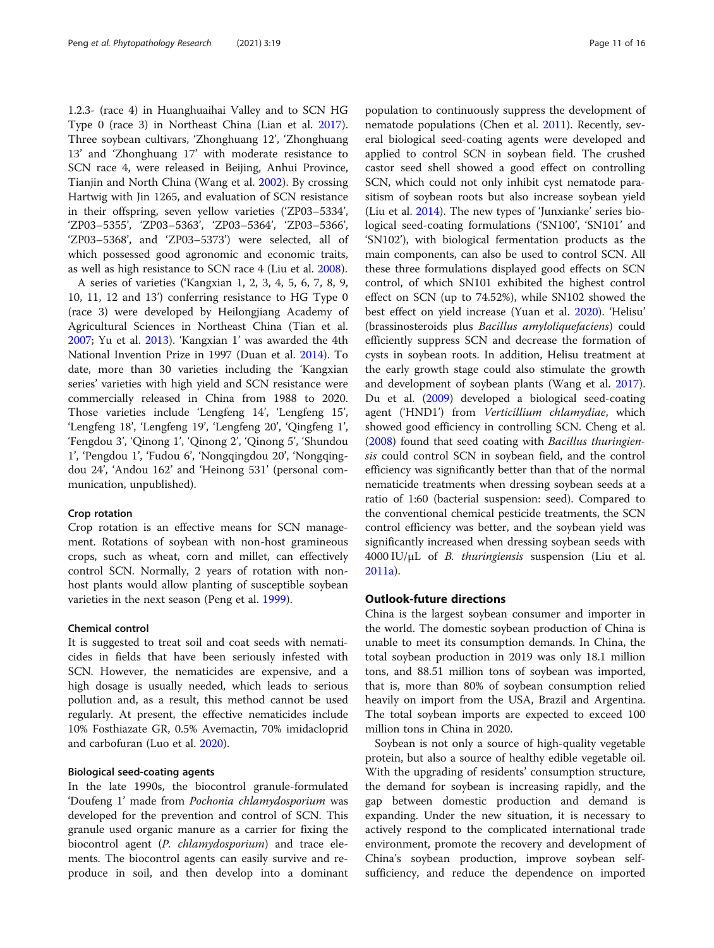1.2.3- (race 4) in Huanghuaihai Valley and to SCN HG Type 0 (race 3) in Northeast China (Lian et al. [2017](#page-13-0)). Three soybean cultivars, 'Zhonghuang 12', 'Zhonghuang 13' and 'Zhonghuang 17' with moderate resistance to SCN race 4, were released in Beijing, Anhui Province, Tianjin and North China (Wang et al. [2002](#page-15-0)). By crossing Hartwig with Jin 1265, and evaluation of SCN resistance in their offspring, seven yellow varieties ('ZP03–5334', 'ZP03–5355', 'ZP03–5363', 'ZP03–5364', 'ZP03–5366', 'ZP03–5368', and 'ZP03–5373') were selected, all of which possessed good agronomic and economic traits, as well as high resistance to SCN race 4 (Liu et al. [2008\)](#page-14-0).

A series of varieties ('Kangxian 1, 2, 3, 4, 5, 6, 7, 8, 9, 10, 11, 12 and 13') conferring resistance to HG Type 0 (race 3) were developed by Heilongjiang Academy of Agricultural Sciences in Northeast China (Tian et al. [2007](#page-15-0); Yu et al. [2013\)](#page-15-0). 'Kangxian 1' was awarded the 4th National Invention Prize in 1997 (Duan et al. [2014\)](#page-13-0). To date, more than 30 varieties including the 'Kangxian series' varieties with high yield and SCN resistance were commercially released in China from 1988 to 2020. Those varieties include 'Lengfeng 14', 'Lengfeng 15', 'Lengfeng 18', 'Lengfeng 19', 'Lengfeng 20', 'Qingfeng 1', 'Fengdou 3', 'Qinong 1', 'Qinong 2', 'Qinong 5', 'Shundou 1', 'Pengdou 1', 'Fudou 6', 'Nongqingdou 20', 'Nongqingdou 24', 'Andou 162' and 'Heinong 531' (personal communication, unpublished).

#### Crop rotation

Crop rotation is an effective means for SCN management. Rotations of soybean with non-host gramineous crops, such as wheat, corn and millet, can effectively control SCN. Normally, 2 years of rotation with nonhost plants would allow planting of susceptible soybean varieties in the next season (Peng et al. [1999\)](#page-14-0).

#### Chemical control

It is suggested to treat soil and coat seeds with nematicides in fields that have been seriously infested with SCN. However, the nematicides are expensive, and a high dosage is usually needed, which leads to serious pollution and, as a result, this method cannot be used regularly. At present, the effective nematicides include 10% Fosthiazate GR, 0.5% Avemactin, 70% imidacloprid and carbofuran (Luo et al. [2020](#page-14-0)).

# Biological seed-coating agents

In the late 1990s, the biocontrol granule-formulated 'Doufeng 1' made from Pochonia chlamydosporium was developed for the prevention and control of SCN. This granule used organic manure as a carrier for fixing the biocontrol agent (P. chlamydosporium) and trace elements. The biocontrol agents can easily survive and reproduce in soil, and then develop into a dominant population to continuously suppress the development of nematode populations (Chen et al. [2011\)](#page-12-0). Recently, several biological seed-coating agents were developed and applied to control SCN in soybean field. The crushed castor seed shell showed a good effect on controlling SCN, which could not only inhibit cyst nematode parasitism of soybean roots but also increase soybean yield (Liu et al. [2014\)](#page-14-0). The new types of 'Junxianke' series biological seed-coating formulations ('SN100', 'SN101' and 'SN102'), with biological fermentation products as the main components, can also be used to control SCN. All these three formulations displayed good effects on SCN control, of which SN101 exhibited the highest control effect on SCN (up to 74.52%), while SN102 showed the best effect on yield increase (Yuan et al. [2020](#page-15-0)). 'Helisu' (brassinosteroids plus Bacillus amyloliquefaciens) could efficiently suppress SCN and decrease the formation of cysts in soybean roots. In addition, Helisu treatment at the early growth stage could also stimulate the growth and development of soybean plants (Wang et al. [2017](#page-15-0)). Du et al. ([2009](#page-13-0)) developed a biological seed-coating agent ('HND1') from Verticillium chlamydiae, which showed good efficiency in controlling SCN. Cheng et al. ([2008\)](#page-12-0) found that seed coating with Bacillus thuringiensis could control SCN in soybean field, and the control efficiency was significantly better than that of the normal nematicide treatments when dressing soybean seeds at a ratio of 1:60 (bacterial suspension: seed). Compared to the conventional chemical pesticide treatments, the SCN control efficiency was better, and the soybean yield was significantly increased when dressing soybean seeds with  $4000$  IU/ $\mu$ L of *B. thuringiensis* suspension (Liu et al. [2011a\)](#page-14-0).

#### Outlook-future directions

China is the largest soybean consumer and importer in the world. The domestic soybean production of China is unable to meet its consumption demands. In China, the total soybean production in 2019 was only 18.1 million tons, and 88.51 million tons of soybean was imported, that is, more than 80% of soybean consumption relied heavily on import from the USA, Brazil and Argentina. The total soybean imports are expected to exceed 100 million tons in China in 2020.

Soybean is not only a source of high-quality vegetable protein, but also a source of healthy edible vegetable oil. With the upgrading of residents' consumption structure, the demand for soybean is increasing rapidly, and the gap between domestic production and demand is expanding. Under the new situation, it is necessary to actively respond to the complicated international trade environment, promote the recovery and development of China's soybean production, improve soybean selfsufficiency, and reduce the dependence on imported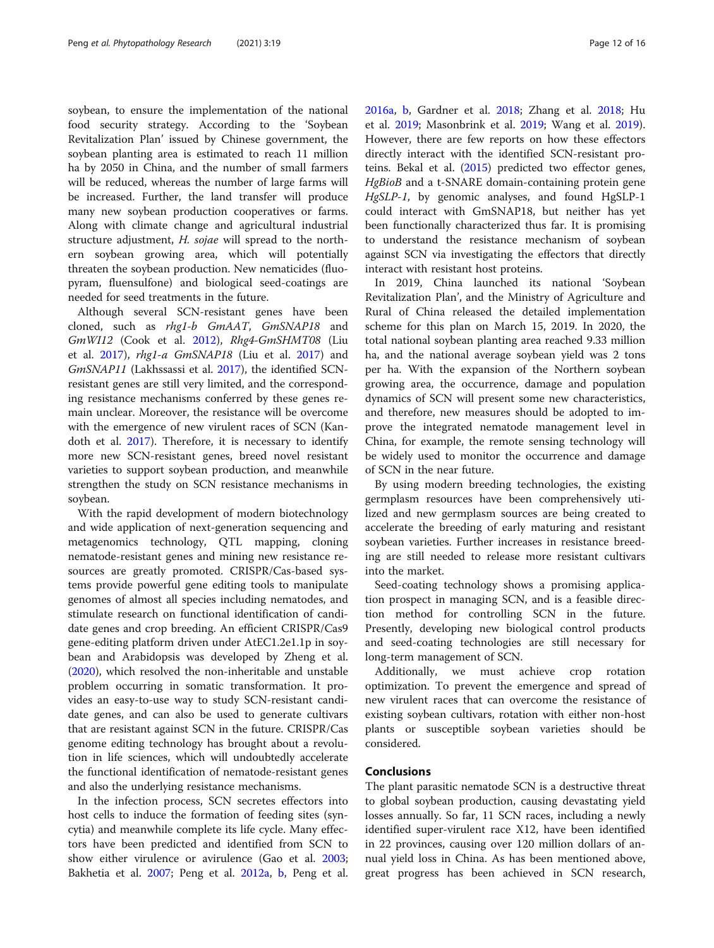soybean, to ensure the implementation of the national food security strategy. According to the 'Soybean Revitalization Plan' issued by Chinese government, the soybean planting area is estimated to reach 11 million ha by 2050 in China, and the number of small farmers will be reduced, whereas the number of large farms will be increased. Further, the land transfer will produce many new soybean production cooperatives or farms. Along with climate change and agricultural industrial structure adjustment, H. sojae will spread to the northern soybean growing area, which will potentially threaten the soybean production. New nematicides (fluopyram, fluensulfone) and biological seed-coatings are needed for seed treatments in the future.

Although several SCN-resistant genes have been cloned, such as rhg1-b GmAAT, GmSNAP18 and GmWI12 (Cook et al. [2012\)](#page-12-0), Rhg4-GmSHMT08 (Liu et al. [2017](#page-14-0)), rhg1-a GmSNAP18 (Liu et al. [2017](#page-14-0)) and GmSNAP11 (Lakhssassi et al. [2017\)](#page-13-0), the identified SCNresistant genes are still very limited, and the corresponding resistance mechanisms conferred by these genes remain unclear. Moreover, the resistance will be overcome with the emergence of new virulent races of SCN (Kandoth et al. [2017\)](#page-13-0). Therefore, it is necessary to identify more new SCN-resistant genes, breed novel resistant varieties to support soybean production, and meanwhile strengthen the study on SCN resistance mechanisms in soybean.

With the rapid development of modern biotechnology and wide application of next-generation sequencing and metagenomics technology, QTL mapping, cloning nematode-resistant genes and mining new resistance resources are greatly promoted. CRISPR/Cas-based systems provide powerful gene editing tools to manipulate genomes of almost all species including nematodes, and stimulate research on functional identification of candidate genes and crop breeding. An efficient CRISPR/Cas9 gene-editing platform driven under AtEC1.2e1.1p in soybean and Arabidopsis was developed by Zheng et al. ([2020](#page-15-0)), which resolved the non-inheritable and unstable problem occurring in somatic transformation. It provides an easy-to-use way to study SCN-resistant candidate genes, and can also be used to generate cultivars that are resistant against SCN in the future. CRISPR/Cas genome editing technology has brought about a revolution in life sciences, which will undoubtedly accelerate the functional identification of nematode-resistant genes and also the underlying resistance mechanisms.

In the infection process, SCN secretes effectors into host cells to induce the formation of feeding sites (syncytia) and meanwhile complete its life cycle. Many effectors have been predicted and identified from SCN to show either virulence or avirulence (Gao et al. [2003](#page-13-0); Bakhetia et al. [2007;](#page-12-0) Peng et al. [2012a,](#page-14-0) [b](#page-14-0), Peng et al. [2016a,](#page-14-0) [b](#page-14-0), Gardner et al. [2018;](#page-13-0) Zhang et al. [2018;](#page-15-0) Hu et al. [2019](#page-13-0); Masonbrink et al. [2019;](#page-14-0) Wang et al. [2019](#page-15-0)). However, there are few reports on how these effectors directly interact with the identified SCN-resistant proteins. Bekal et al. [\(2015\)](#page-12-0) predicted two effector genes, HgBioB and a t-SNARE domain-containing protein gene HgSLP-1, by genomic analyses, and found HgSLP-1 could interact with GmSNAP18, but neither has yet been functionally characterized thus far. It is promising to understand the resistance mechanism of soybean against SCN via investigating the effectors that directly interact with resistant host proteins.

In 2019, China launched its national 'Soybean Revitalization Plan', and the Ministry of Agriculture and Rural of China released the detailed implementation scheme for this plan on March 15, 2019. In 2020, the total national soybean planting area reached 9.33 million ha, and the national average soybean yield was 2 tons per ha. With the expansion of the Northern soybean growing area, the occurrence, damage and population dynamics of SCN will present some new characteristics, and therefore, new measures should be adopted to improve the integrated nematode management level in China, for example, the remote sensing technology will be widely used to monitor the occurrence and damage of SCN in the near future.

By using modern breeding technologies, the existing germplasm resources have been comprehensively utilized and new germplasm sources are being created to accelerate the breeding of early maturing and resistant soybean varieties. Further increases in resistance breeding are still needed to release more resistant cultivars into the market.

Seed-coating technology shows a promising application prospect in managing SCN, and is a feasible direction method for controlling SCN in the future. Presently, developing new biological control products and seed-coating technologies are still necessary for long-term management of SCN.

Additionally, we must achieve crop rotation optimization. To prevent the emergence and spread of new virulent races that can overcome the resistance of existing soybean cultivars, rotation with either non-host plants or susceptible soybean varieties should be considered.

# Conclusions

The plant parasitic nematode SCN is a destructive threat to global soybean production, causing devastating yield losses annually. So far, 11 SCN races, including a newly identified super-virulent race X12, have been identified in 22 provinces, causing over 120 million dollars of annual yield loss in China. As has been mentioned above, great progress has been achieved in SCN research,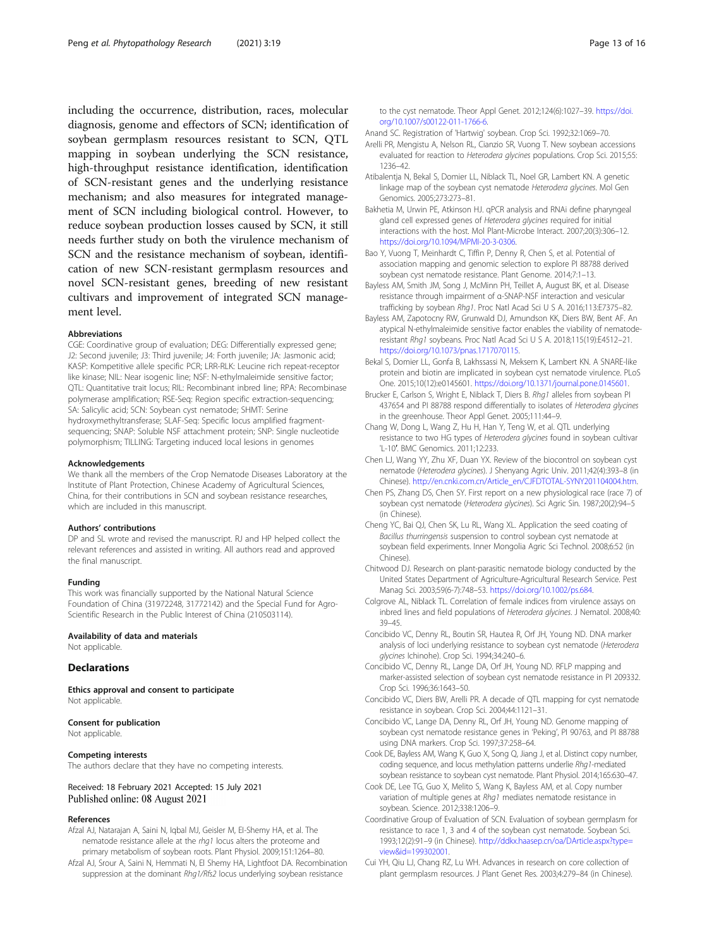<span id="page-12-0"></span>including the occurrence, distribution, races, molecular diagnosis, genome and effectors of SCN; identification of soybean germplasm resources resistant to SCN, QTL mapping in soybean underlying the SCN resistance, high-throughput resistance identification, identification of SCN-resistant genes and the underlying resistance mechanism; and also measures for integrated management of SCN including biological control. However, to reduce soybean production losses caused by SCN, it still needs further study on both the virulence mechanism of SCN and the resistance mechanism of soybean, identification of new SCN-resistant germplasm resources and novel SCN-resistant genes, breeding of new resistant cultivars and improvement of integrated SCN management level.

#### Abbreviations

CGE: Coordinative group of evaluation; DEG: Differentially expressed gene; J2: Second juvenile; J3: Third juvenile; J4: Forth juvenile; JA: Jasmonic acid; KASP: Kompetitive allele specific PCR; LRR-RLK: Leucine rich repeat-receptor like kinase; NIL: Near isogenic line; NSF: N-ethylmaleimide sensitive factor; QTL: Quantitative trait locus; RIL: Recombinant inbred line; RPA: Recombinase polymerase amplification; RSE-Seq: Region specific extraction-sequencing; SA: Salicylic acid; SCN: Soybean cyst nematode; SHMT: Serine hydroxymethyltransferase; SLAF-Seq: Specific locus amplified fragmentsequencing; SNAP: Soluble NSF attachment protein; SNP: Single nucleotide polymorphism; TILLING: Targeting induced local lesions in genomes

#### Acknowledgements

We thank all the members of the Crop Nematode Diseases Laboratory at the Institute of Plant Protection, Chinese Academy of Agricultural Sciences, China, for their contributions in SCN and soybean resistance researches, which are included in this manuscript.

#### Authors' contributions

DP and SL wrote and revised the manuscript. RJ and HP helped collect the relevant references and assisted in writing. All authors read and approved the final manuscript.

#### Funding

This work was financially supported by the National Natural Science Foundation of China (31972248, 31772142) and the Special Fund for Agro-Scientific Research in the Public Interest of China (210503114).

# Availability of data and materials

Not applicable.

# **Declarations**

Ethics approval and consent to participate Not applicable.

#### Consent for publication

Not applicable.

#### Competing interests

The authors declare that they have no competing interests.

#### Received: 18 February 2021 Accepted: 15 July 2021 Published online: 08 August 2021

#### References

- Afzal AJ, Natarajan A, Saini N, Iqbal MJ, Geisler M, EI-Shemy HA, et al. The nematode resistance allele at the rhg1 locus alters the proteome and primary metabolism of soybean roots. Plant Physiol. 2009;151:1264–80.
- Afzal AJ, Srour A, Saini N, Hemmati N, El Shemy HA, Lightfoot DA. Recombination suppression at the dominant Rhg1/Rfs2 locus underlying soybean resistance

Anand SC. Registration of 'Hartwig' soybean. Crop Sci. 1992;32:1069–70.

- Arelli PR, Mengistu A, Nelson RL, Cianzio SR, Vuong T. New soybean accessions evaluated for reaction to Heterodera glycines populations. Crop Sci. 2015;55: 1236–42.
- Atibalentja N, Bekal S, Domier LL, Niblack TL, Noel GR, Lambert KN. A genetic linkage map of the soybean cyst nematode Heterodera glycines. Mol Gen Genomics. 2005;273:273–81.
- Bakhetia M, Urwin PE, Atkinson HJ. qPCR analysis and RNAi define pharyngeal gland cell expressed genes of Heterodera glycines required for initial interactions with the host. Mol Plant-Microbe Interact. 2007;20(3):306–12. <https://doi.org/10.1094/MPMI-20-3-0306>.
- Bao Y, Vuong T, Meinhardt C, Tiffin P, Denny R, Chen S, et al. Potential of association mapping and genomic selection to explore PI 88788 derived soybean cyst nematode resistance. Plant Genome. 2014;7:1–13.
- Bayless AM, Smith JM, Song J, McMinn PH, Teillet A, August BK, et al. Disease resistance through impairment of α-SNAP-NSF interaction and vesicular trafficking by soybean Rhg1. Proc Natl Acad Sci U S A. 2016;113:E7375–82.
- Bayless AM, Zapotocny RW, Grunwald DJ, Amundson KK, Diers BW, Bent AF. An atypical N-ethylmaleimide sensitive factor enables the viability of nematoderesistant Rhg1 soybeans. Proc Natl Acad Sci U S A. 2018;115(19):E4512–21. [https://doi.org/10.1073/pnas.1717070115.](https://doi.org/10.1073/pnas.1717070115)
- Bekal S, Domier LL, Gonfa B, Lakhssassi N, Meksem K, Lambert KN. A SNARE-like protein and biotin are implicated in soybean cyst nematode virulence. PLoS One. 2015;10(12):e0145601. [https://doi.org/10.1371/journal.pone.0145601.](https://doi.org/10.1371/journal.pone.0145601)
- Brucker E, Carlson S, Wright E, Niblack T, Diers B. Rhg1 alleles from soybean PI 437654 and PI 88788 respond differentially to isolates of Heterodera glycines in the greenhouse. Theor Appl Genet. 2005;111:44–9.
- Chang W, Dong L, Wang Z, Hu H, Han Y, Teng W, et al. QTL underlying resistance to two HG types of Heterodera glycines found in soybean cultivar 'L-10′. BMC Genomics. 2011;12:233.
- Chen LJ, Wang YY, Zhu XF, Duan YX. Review of the biocontrol on soybean cyst nematode (Heterodera glycines). J Shenyang Agric Univ. 2011;42(4):393–8 (in Chinese). [http://en.cnki.com.cn/Article\\_en/CJFDTOTAL-SYNY201104004.htm](http://en.cnki.com.cn/Article_en/CJFDTOTAL-SYNY201104004.htm).
- Chen PS, Zhang DS, Chen SY. First report on a new physiological race (race 7) of soybean cyst nematode (Heterodera glycines). Sci Agric Sin. 1987;20(2):94–5 (in Chinese).
- Cheng YC, Bai QJ, Chen SK, Lu RL, Wang XL. Application the seed coating of Bacillus thurringensis suspension to control soybean cyst nematode at soybean field experiments. Inner Mongolia Agric Sci Technol. 2008;6:52 (in Chinese).
- Chitwood DJ. Research on plant-parasitic nematode biology conducted by the United States Department of Agriculture-Agricultural Research Service. Pest Manag Sci. 2003;59(6-7):748–53. <https://doi.org/10.1002/ps.684>.
- Colgrove AL, Niblack TL. Correlation of female indices from virulence assays on inbred lines and field populations of Heterodera glycines. J Nematol. 2008;40: 39–45.
- Concibido VC, Denny RL, Boutin SR, Hautea R, Orf JH, Young ND. DNA marker analysis of loci underlying resistance to soybean cyst nematode (Heterodera glycines Ichinohe). Crop Sci. 1994;34:240–6.
- Concibido VC, Denny RL, Lange DA, Orf JH, Young ND. RFLP mapping and marker-assisted selection of soybean cyst nematode resistance in PI 209332. Crop Sci. 1996;36:1643–50.
- Concibido VC, Diers BW, Arelli PR. A decade of QTL mapping for cyst nematode resistance in soybean. Crop Sci. 2004;44:1121–31.
- Concibido VC, Lange DA, Denny RL, Orf JH, Young ND. Genome mapping of soybean cyst nematode resistance genes in 'Peking', PI 90763, and PI 88788 using DNA markers. Crop Sci. 1997;37:258–64.
- Cook DE, Bayless AM, Wang K, Guo X, Song Q, Jiang J, et al. Distinct copy number, coding sequence, and locus methylation patterns underlie Rhg1-mediated soybean resistance to soybean cyst nematode. Plant Physiol. 2014;165:630–47.
- Cook DE, Lee TG, Guo X, Melito S, Wang K, Bayless AM, et al. Copy number variation of multiple genes at Rhg1 mediates nematode resistance in soybean. Science. 2012;338:1206–9.
- Coordinative Group of Evaluation of SCN. Evaluation of soybean germplasm for resistance to race 1, 3 and 4 of the soybean cyst nematode. Soybean Sci. 1993;12(2):91–9 (in Chinese). [http://ddkx.haasep.cn/oa/DArticle.aspx?type=](http://ddkx.haasep.cn/oa/DArticle.aspx?type=view&id=199302001) [view&id=199302001](http://ddkx.haasep.cn/oa/DArticle.aspx?type=view&id=199302001).
- Cui YH, Qiu LJ, Chang RZ, Lu WH. Advances in research on core collection of plant germplasm resources. J Plant Genet Res. 2003;4:279–84 (in Chinese).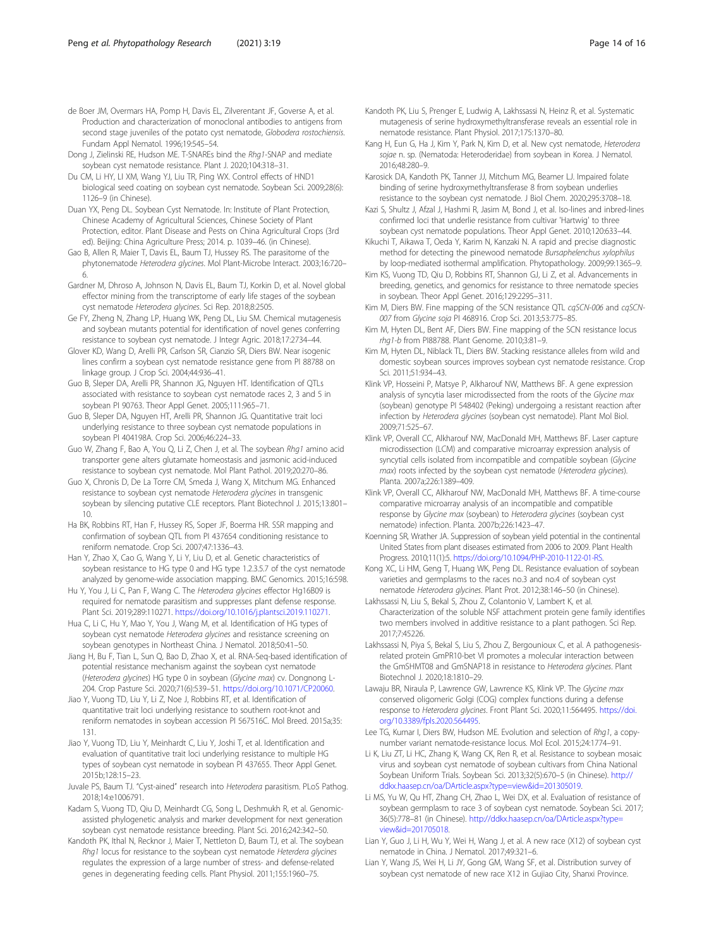- <span id="page-13-0"></span>de Boer JM, Overmars HA, Pomp H, Davis EL, Zilverentant JF, Goverse A, et al. Production and characterization of monoclonal antibodies to antigens from second stage juveniles of the potato cyst nematode, Globodera rostochiensis. Fundam Appl Nematol. 1996;19:545–54.
- Dong J, Zielinski RE, Hudson ME. T-SNAREs bind the Rhg1-SNAP and mediate soybean cyst nematode resistance. Plant J. 2020;104:318–31.
- Du CM, Li HY, LI XM, Wang YJ, Liu TR, Ping WX. Control effects of HND1 biological seed coating on soybean cyst nematode. Soybean Sci. 2009;28(6): 1126–9 (in Chinese).
- Duan YX, Peng DL. Soybean Cyst Nematode. In: Institute of Plant Protection, Chinese Academy of Agricultural Sciences, Chinese Society of Plant Protection, editor. Plant Disease and Pests on China Agricultural Crops (3rd ed). Beijing: China Agriculture Press; 2014. p. 1039–46. (in Chinese).
- Gao B, Allen R, Maier T, Davis EL, Baum TJ, Hussey RS. The parasitome of the phytonematode Heterodera glycines. Mol Plant-Microbe Interact. 2003;16:720– 6.
- Gardner M, Dhroso A, Johnson N, Davis EL, Baum TJ, Korkin D, et al. Novel global effector mining from the transcriptome of early life stages of the soybean cyst nematode Heterodera glycines. Sci Rep. 2018;8:2505.
- Ge FY, Zheng N, Zhang LP, Huang WK, Peng DL, Liu SM. Chemical mutagenesis and soybean mutants potential for identification of novel genes conferring resistance to soybean cyst nematode. J Integr Agric. 2018;17:2734–44.
- Glover KD, Wang D, Arelli PR, Carlson SR, Cianzio SR, Diers BW. Near isogenic lines confirm a soybean cyst nematode resistance gene from PI 88788 on linkage group. J Crop Sci. 2004;44:936–41.
- Guo B, Sleper DA, Arelli PR, Shannon JG, Nguyen HT. Identification of QTLs associated with resistance to soybean cyst nematode races 2, 3 and 5 in soybean PI 90763. Theor Appl Genet. 2005;111:965–71.
- Guo B, Sleper DA, Nguyen HT, Arelli PR, Shannon JG. Quantitative trait loci underlying resistance to three soybean cyst nematode populations in soybean PI 404198A. Crop Sci. 2006;46:224–33.
- Guo W, Zhang F, Bao A, You Q, Li Z, Chen J, et al. The soybean Rhg1 amino acid transporter gene alters glutamate homeostasis and jasmonic acid-induced resistance to soybean cyst nematode. Mol Plant Pathol. 2019;20:270–86.
- Guo X, Chronis D, De La Torre CM, Smeda J, Wang X, Mitchum MG. Enhanced resistance to soybean cyst nematode Heterodera glycines in transgenic soybean by silencing putative CLE receptors. Plant Biotechnol J. 2015;13:801– 10.
- Ha BK, Robbins RT, Han F, Hussey RS, Soper JF, Boerma HR. SSR mapping and confirmation of soybean QTL from PI 437654 conditioning resistance to reniform nematode. Crop Sci. 2007;47:1336–43.
- Han Y, Zhao X, Cao G, Wang Y, Li Y, Liu D, et al. Genetic characteristics of soybean resistance to HG type 0 and HG type 1.2.3.5.7 of the cyst nematode analyzed by genome-wide association mapping. BMC Genomics. 2015;16:598.
- Hu Y, You J, Li C, Pan F, Wang C. The Heterodera glycines effector Hg16B09 is required for nematode parasitism and suppresses plant defense response. Plant Sci. 2019;289:110271. <https://doi.org/10.1016/j.plantsci.2019.110271>.
- Hua C, Li C, Hu Y, Mao Y, You J, Wang M, et al. Identification of HG types of soybean cyst nematode Heterodera glycines and resistance screening on soybean genotypes in Northeast China. J Nematol. 2018;50:41–50.
- Jiang H, Bu F, Tian L, Sun Q, Bao D, Zhao X, et al. RNA-Seq-based identification of potential resistance mechanism against the soybean cyst nematode (Heterodera glycines) HG type 0 in soybean (Glycine max) cv. Dongnong L-204. Crop Pasture Sci. 2020;71(6):539–51. [https://doi.org/10.1071/CP20060.](https://doi.org/10.1071/CP20060)
- Jiao Y, Vuong TD, Liu Y, Li Z, Noe J, Robbins RT, et al. Identification of quantitative trait loci underlying resistance to southern root-knot and reniform nematodes in soybean accession PI 567516C. Mol Breed. 2015a;35: 131.
- Jiao Y, Vuong TD, Liu Y, Meinhardt C, Liu Y, Joshi T, et al. Identification and evaluation of quantitative trait loci underlying resistance to multiple HG types of soybean cyst nematode in soybean PI 437655. Theor Appl Genet. 2015b;128:15–23.
- Juvale PS, Baum TJ. "Cyst-ained" research into Heterodera parasitism. PLoS Pathog. 2018;14:e1006791.
- Kadam S, Vuong TD, Qiu D, Meinhardt CG, Song L, Deshmukh R, et al. Genomicassisted phylogenetic analysis and marker development for next generation soybean cyst nematode resistance breeding. Plant Sci. 2016;242:342–50.
- Kandoth PK, Ithal N, Recknor J, Maier T, Nettleton D, Baum TJ, et al. The soybean Rhg1 locus for resistance to the soybean cyst nematode Heterdera glycines regulates the expression of a large number of stress- and defense-related genes in degenerating feeding cells. Plant Physiol. 2011;155:1960–75.
- Kandoth PK, Liu S, Prenger E, Ludwig A, Lakhssassi N, Heinz R, et al. Systematic mutagenesis of serine hydroxymethyltransferase reveals an essential role in nematode resistance. Plant Physiol. 2017;175:1370–80.
- Kang H, Eun G, Ha J, Kim Y, Park N, Kim D, et al. New cyst nematode, Heterodera sojae n. sp. (Nematoda: Heteroderidae) from soybean in Korea. J Nematol. 2016;48:280–9.
- Karosick DA, Kandoth PK, Tanner JJ, Mitchum MG, Beamer LJ. Impaired folate binding of serine hydroxymethyltransferase 8 from soybean underlies resistance to the soybean cyst nematode. J Biol Chem. 2020;295:3708–18.
- Kazi S, Shultz J, Afzal J, Hashmi R, Jasim M, Bond J, et al. Iso-lines and inbred-lines confirmed loci that underlie resistance from cultivar 'Hartwig' to three soybean cyst nematode populations. Theor Appl Genet. 2010;120:633–44.
- Kikuchi T, Aikawa T, Oeda Y, Karim N, Kanzaki N. A rapid and precise diagnostic method for detecting the pinewood nematode Bursaphelenchus xylophilus by loop-mediated isothermal amplification. Phytopathology. 2009;99:1365–9.
- Kim KS, Vuong TD, Qiu D, Robbins RT, Shannon GJ, Li Z, et al. Advancements in breeding, genetics, and genomics for resistance to three nematode species in soybean. Theor Appl Genet. 2016;129:2295–311.
- Kim M, Diers BW. Fine mapping of the SCN resistance QTL cqSCN-006 and cqSCN-007 from Glycine soja PI 468916. Crop Sci. 2013;53:775–85.
- Kim M, Hyten DL, Bent AF, Diers BW. Fine mapping of the SCN resistance locus rhg1-b from PI88788. Plant Genome. 2010;3:81–9.
- Kim M, Hyten DL, Niblack TL, Diers BW. Stacking resistance alleles from wild and domestic soybean sources improves soybean cyst nematode resistance. Crop Sci. 2011;51:934–43.
- Klink VP, Hosseini P, Matsye P, Alkharouf NW, Matthews BF. A gene expression analysis of syncytia laser microdissected from the roots of the Glycine max (soybean) genotype PI 548402 (Peking) undergoing a resistant reaction after infection by Heterodera glycines (soybean cyst nematode). Plant Mol Biol. 2009;71:525–67.
- Klink VP, Overall CC, Alkharouf NW, MacDonald MH, Matthews BF. Laser capture microdissection (LCM) and comparative microarray expression analysis of syncytial cells isolated from incompatible and compatible soybean (Glycine max) roots infected by the soybean cyst nematode (Heterodera glycines). Planta. 2007a;226:1389–409.
- Klink VP, Overall CC, Alkharouf NW, MacDonald MH, Matthews BF. A time-course comparative microarray analysis of an incompatible and compatible response by Glycine max (soybean) to Heterodera glycines (soybean cyst nematode) infection. Planta. 2007b;226:1423–47.
- Koenning SR, Wrather JA. Suppression of soybean yield potential in the continental United States from plant diseases estimated from 2006 to 2009. Plant Health Progress. 2010;11(1):5. <https://doi.org/10.1094/PHP-2010-1122-01-RS>.
- Kong XC, Li HM, Geng T, Huang WK, Peng DL. Resistance evaluation of soybean varieties and germplasms to the races no.3 and no.4 of soybean cyst nematode Heterodera glycines. Plant Prot. 2012;38:146–50 (in Chinese).
- Lakhssassi N, Liu S, Bekal S, Zhou Z, Colantonio V, Lambert K, et al. Characterization of the soluble NSF attachment protein gene family identifies two members involved in additive resistance to a plant pathogen. Sci Rep. 2017;7:45226.
- Lakhssassi N, Piya S, Bekal S, Liu S, Zhou Z, Bergounioux C, et al. A pathogenesisrelated protein GmPR10-bet VI promotes a molecular interaction between the GmSHMT08 and GmSNAP18 in resistance to Heterodera glycines. Plant Biotechnol J. 2020;18:1810–29.
- Lawaju BR, Niraula P, Lawrence GW, Lawrence KS, Klink VP. The Glycine max conserved oligomeric Golgi (COG) complex functions during a defense response to Heterodera glycines. Front Plant Sci. 2020;11:564495. [https://doi.](https://doi.org/10.3389/fpls.2020.564495) [org/10.3389/fpls.2020.564495](https://doi.org/10.3389/fpls.2020.564495).
- Lee TG, Kumar I, Diers BW, Hudson ME. Evolution and selection of Rhg1, a copynumber variant nematode-resistance locus. Mol Ecol. 2015;24:1774–91.
- Li K, Liu ZT, Li HC, Zhang K, Wang CK, Ren R, et al. Resistance to soybean mosaic virus and soybean cyst nematode of soybean cultivars from China National Soybean Uniform Trials. Soybean Sci. 2013;32(5):670–5 (in Chinese). [http://](http://ddkx.haasep.cn/oa/DArticle.aspx?type=view&id=201305019) [ddkx.haasep.cn/oa/DArticle.aspx?type=view&id=201305019.](http://ddkx.haasep.cn/oa/DArticle.aspx?type=view&id=201305019)
- Li MS, Yu W, Qu HT, Zhang CH, Zhao L, Wei DX, et al. Evaluation of resistance of soybean germplasm to race 3 of soybean cyst nematode. Soybean Sci. 2017; 36(5):778–81 (in Chinese). [http://ddkx.haasep.cn/oa/DArticle.aspx?type=](http://ddkx.haasep.cn/oa/DArticle.aspx?type=view&id=201705018) [view&id=201705018](http://ddkx.haasep.cn/oa/DArticle.aspx?type=view&id=201705018).
- Lian Y, Guo J, Li H, Wu Y, Wei H, Wang J, et al. A new race (X12) of soybean cyst nematode in China. J Nematol. 2017;49:321–6.
- Lian Y, Wang JS, Wei H, Li JY, Gong GM, Wang SF, et al. Distribution survey of soybean cyst nematode of new race X12 in Gujiao City, Shanxi Province.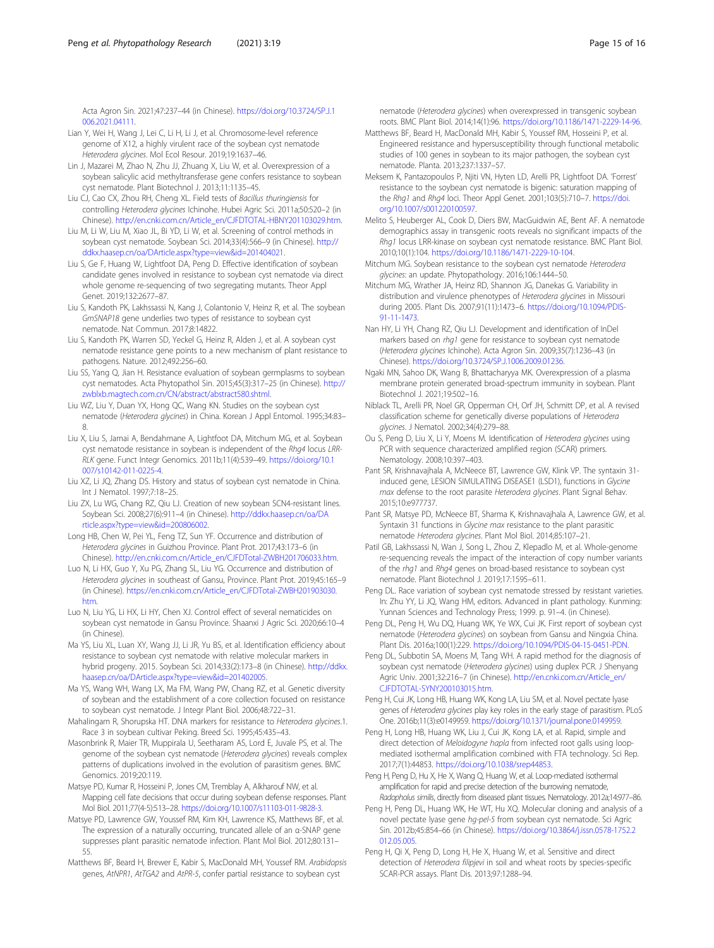<span id="page-14-0"></span>Acta Agron Sin. 2021;47:237–44 (in Chinese). [https://doi.org/10.3724/SP.J.1](https://doi.org/10.3724/SP.J.1006.2021.04111) [006.2021.04111](https://doi.org/10.3724/SP.J.1006.2021.04111).

- Lian Y, Wei H, Wang J, Lei C, Li H, Li J, et al. Chromosome-level reference genome of X12, a highly virulent race of the soybean cyst nematode Heterodera glycines. Mol Ecol Resour. 2019;19:1637–46.
- Lin J, Mazarei M, Zhao N, Zhu JJ, Zhuang X, Liu W, et al. Overexpression of a soybean salicylic acid methyltransferase gene confers resistance to soybean cyst nematode. Plant Biotechnol J. 2013;11:1135–45.
- Liu CJ, Cao CX, Zhou RH, Cheng XL. Field tests of Bacillus thuringiensis for controlling Heterodera glycines Ichinohe. Hubei Agric Sci. 2011a;50:520–2 (in Chinese). [http://en.cnki.com.cn/Article\\_en/CJFDTOTAL-HBNY201103029.htm](http://en.cnki.com.cn/Article_en/CJFDTOTAL-HBNY201103029.htm).
- Liu M, Li W, Liu M, Xiao JL, Bi YD, Li W, et al. Screening of control methods in soybean cyst nematode. Soybean Sci. 2014;33(4):566–9 (in Chinese). [http://](http://ddkx.haasep.cn/oa/DArticle.aspx?type=view&id=201404021) [ddkx.haasep.cn/oa/DArticle.aspx?type=view&id=201404021.](http://ddkx.haasep.cn/oa/DArticle.aspx?type=view&id=201404021)
- Liu S, Ge F, Huang W, Lightfoot DA, Peng D. Effective identification of soybean candidate genes involved in resistance to soybean cyst nematode via direct whole genome re-sequencing of two segregating mutants. Theor Appl Genet. 2019;132:2677–87.
- Liu S, Kandoth PK, Lakhssassi N, Kang J, Colantonio V, Heinz R, et al. The soybean GmSNAP18 gene underlies two types of resistance to soybean cyst nematode. Nat Commun. 2017;8:14822.
- Liu S, Kandoth PK, Warren SD, Yeckel G, Heinz R, Alden J, et al. A soybean cyst nematode resistance gene points to a new mechanism of plant resistance to pathogens. Nature. 2012;492:256–60.
- Liu SS, Yang Q, Jian H. Resistance evaluation of soybean germplasms to soybean cyst nematodes. Acta Phytopathol Sin. 2015;45(3):317–25 (in Chinese). [http://](http://zwblxb.magtech.com.cn/CN/abstract/abstract580.shtml) [zwblxb.magtech.com.cn/CN/abstract/abstract580.shtml](http://zwblxb.magtech.com.cn/CN/abstract/abstract580.shtml).
- Liu WZ, Liu Y, Duan YX, Hong QC, Wang KN. Studies on the soybean cyst nematode (Heterodera glycines) in China. Korean J Appl Entomol. 1995;34:83– 8.
- Liu X, Liu S, Jamai A, Bendahmane A, Lightfoot DA, Mitchum MG, et al. Soybean cyst nematode resistance in soybean is independent of the Rhg4 locus LRR-RLK gene. Funct Integr Genomics. 2011b;11(4):539–49. [https://doi.org/10.1](https://doi.org/10.1007/s10142-011-0225-4) [007/s10142-011-0225-4.](https://doi.org/10.1007/s10142-011-0225-4)
- Liu XZ, Li JQ, Zhang DS. History and status of soybean cyst nematode in China. Int J Nematol. 1997;7:18–25.
- Liu ZX, Lu WG, Chang RZ, Qiu LJ. Creation of new soybean SCN4-resistant lines. Soybean Sci. 2008;27(6):911–4 (in Chinese). [http://ddkx.haasep.cn/oa/DA](http://ddkx.haasep.cn/oa/DArticle.aspx?type=view&id=200806002) [rticle.aspx?type=view&id=200806002](http://ddkx.haasep.cn/oa/DArticle.aspx?type=view&id=200806002).
- Long HB, Chen W, Pei YL, Feng TZ, Sun YF. Occurrence and distribution of Heterodera glycines in Guizhou Province. Plant Prot. 2017;43:173–6 (in Chinese). [http://en.cnki.com.cn/Article\\_en/CJFDTotal-ZWBH201706033.htm](http://en.cnki.com.cn/Article_en/CJFDTotal-ZWBH201706033.htm).
- Luo N, Li HX, Guo Y, Xu PG, Zhang SL, Liu YG. Occurrence and distribution of Heterodera glycines in southeast of Gansu, Province. Plant Prot. 2019;45:165–9 (in Chinese). [https://en.cnki.com.cn/Article\\_en/CJFDTotal-ZWBH201903030.](https://en.cnki.com.cn/Article_en/CJFDTotal-ZWBH201903030.htm) [htm](https://en.cnki.com.cn/Article_en/CJFDTotal-ZWBH201903030.htm).
- Luo N, Liu YG, Li HX, Li HY, Chen XJ. Control effect of several nematicides on soybean cyst nematode in Gansu Province. Shaanxi J Agric Sci. 2020;66:10–4 (in Chinese).
- Ma YS, Liu XL, Luan XY, Wang JJ, Li JR, Yu BS, et al. Identification efficiency about resistance to soybean cyst nematode with relative molecular markers in hybrid progeny. 2015. Soybean Sci. 2014;33(2):173–8 (in Chinese). [http://ddkx.](http://ddkx.haasep.cn/oa/DArticle.aspx?type=view&id=201402005) [haasep.cn/oa/DArticle.aspx?type=view&id=201402005.](http://ddkx.haasep.cn/oa/DArticle.aspx?type=view&id=201402005)
- Ma YS, Wang WH, Wang LX, Ma FM, Wang PW, Chang RZ, et al. Genetic diversity of soybean and the establishment of a core collection focused on resistance to soybean cyst nematode. J Integr Plant Biol. 2006;48:722–31.
- Mahalingam R, Shorupska HT. DNA markers for resistance to Heterodera glycines.1. Race 3 in soybean cultivar Peking. Breed Sci. 1995;45:435–43.
- Masonbrink R, Maier TR, Muppirala U, Seetharam AS, Lord E, Juvale PS, et al. The genome of the soybean cyst nematode (Heterodera glycines) reveals complex patterns of duplications involved in the evolution of parasitism genes. BMC Genomics. 2019;20:119.
- Matsye PD, Kumar R, Hosseini P, Jones CM, Tremblay A, Alkharouf NW, et al. Mapping cell fate decisions that occur during soybean defense responses. Plant Mol Biol. 2011;77(4-5):513–28. <https://doi.org/10.1007/s11103-011-9828-3>.
- Matsye PD, Lawrence GW, Youssef RM, Kim KH, Lawrence KS, Matthews BF, et al. The expression of a naturally occurring, truncated allele of an α-SNAP gene suppresses plant parasitic nematode infection. Plant Mol Biol. 2012;80:131– 55.
- Matthews BF, Beard H, Brewer E, Kabir S, MacDonald MH, Youssef RM. Arabidopsis genes, AtNPR1, AtTGA2 and AtPR-5, confer partial resistance to soybean cyst

nematode (Heterodera glycines) when overexpressed in transgenic soybean roots. BMC Plant Biol. 2014;14(1):96. <https://doi.org/10.1186/1471-2229-14-96>.

- Matthews BF, Beard H, MacDonald MH, Kabir S, Youssef RM, Hosseini P, et al. Engineered resistance and hypersusceptibility through functional metabolic studies of 100 genes in soybean to its major pathogen, the soybean cyst nematode. Planta. 2013;237:1337–57.
- Meksem K, Pantazopoulos P, Njiti VN, Hyten LD, Arelli PR, Lightfoot DA. 'Forrest' resistance to the soybean cyst nematode is bigenic: saturation mapping of the Rhg1 and Rhg4 loci. Theor Appl Genet. 2001;103(5):710-7. [https://doi.](https://doi.org/10.1007/s001220100597) [org/10.1007/s001220100597.](https://doi.org/10.1007/s001220100597)
- Melito S, Heuberger AL, Cook D, Diers BW, MacGuidwin AE, Bent AF. A nematode demographics assay in transgenic roots reveals no significant impacts of the Rhg1 locus LRR-kinase on soybean cyst nematode resistance. BMC Plant Biol. 2010;10(1):104. <https://doi.org/10.1186/1471-2229-10-104>.
- Mitchum MG. Soybean resistance to the soybean cyst nematode Heterodera glycines: an update. Phytopathology. 2016;106:1444–50.
- Mitchum MG, Wrather JA, Heinz RD, Shannon JG, Danekas G. Variability in distribution and virulence phenotypes of Heterodera glycines in Missouri during 2005. Plant Dis. 2007;91(11):1473–6. [https://doi.org/10.1094/PDIS-](https://doi.org/10.1094/PDIS-91-11-1473)[91-11-1473](https://doi.org/10.1094/PDIS-91-11-1473).
- Nan HY, Li YH, Chang RZ, Qiu LJ. Development and identification of InDel markers based on rhg1 gene for resistance to soybean cyst nematode (Heterodera glycines Ichinohe). Acta Agron Sin. 2009;35(7):1236–43 (in Chinese). [https://doi.org/10.3724/SP.J.1006.2009.01236.](https://doi.org/10.3724/SP.J.1006.2009.01236)
- Ngaki MN, Sahoo DK, Wang B, Bhattacharyya MK. Overexpression of a plasma membrane protein generated broad-spectrum immunity in soybean. Plant Biotechnol J. 2021;19:502–16.
- Niblack TL, Arelli PR, Noel GR, Opperman CH, Orf JH, Schmitt DP, et al. A revised classification scheme for genetically diverse populations of Heterodera glycines. J Nematol. 2002;34(4):279–88.
- Ou S, Peng D, Liu X, Li Y, Moens M. Identification of Heterodera glycines using PCR with sequence characterized amplified region (SCAR) primers. Nematology. 2008;10:397–403.
- Pant SR, Krishnavajhala A, McNeece BT, Lawrence GW, Klink VP. The syntaxin 31 induced gene, LESION SIMULATING DISEASE1 (LSD1), functions in Glycine max defense to the root parasite Heterodera glycines. Plant Signal Behav. 2015;10:e977737.
- Pant SR, Matsye PD, McNeece BT, Sharma K, Krishnavajhala A, Lawrence GW, et al. Syntaxin 31 functions in Glycine max resistance to the plant parasitic nematode Heterodera glycines. Plant Mol Biol. 2014;85:107–21.
- Patil GB, Lakhssassi N, Wan J, Song L, Zhou Z, Klepadlo M, et al. Whole-genome re-sequencing reveals the impact of the interaction of copy number variants of the rhg1 and Rhg4 genes on broad-based resistance to soybean cyst nematode. Plant Biotechnol J. 2019;17:1595–611.
- Peng DL. Race variation of soybean cyst nematode stressed by resistant varieties. In: Zhu YY, Li JQ, Wang HM, editors. Advanced in plant pathology. Kunming: Yunnan Sciences and Technology Press; 1999. p. 91–4. (in Chinese).
- Peng DL, Peng H, Wu DQ, Huang WK, Ye WX, Cui JK. First report of soybean cyst nematode (Heterodera glycines) on soybean from Gansu and Ningxia China. Plant Dis. 2016a;100(1):229. [https://doi.org/10.1094/PDIS-04-15-0451-PDN.](https://doi.org/10.1094/PDIS-04-15-0451-PDN)
- Peng DL, Subbotin SA, Moens M, Tang WH. A rapid method for the diagnosis of soybean cyst nematode (Heterodera glycines) using duplex PCR. J Shenyang Agric Univ. 2001;32:216–7 (in Chinese). [http://en.cnki.com.cn/Article\\_en/](http://en.cnki.com.cn/Article_en/CJFDTOTAL-SYNY200103015.htm) [CJFDTOTAL-SYNY200103015.htm](http://en.cnki.com.cn/Article_en/CJFDTOTAL-SYNY200103015.htm).
- Peng H, Cui JK, Long HB, Huang WK, Kong LA, Liu SM, et al. Novel pectate lyase genes of Heterodera glycines play key roles in the early stage of parasitism. PLoS One. 2016b;11(3):e0149959. [https://doi.org/10.1371/journal.pone.0149959.](https://doi.org/10.1371/journal.pone.0149959)
- Peng H, Long HB, Huang WK, Liu J, Cui JK, Kong LA, et al. Rapid, simple and direct detection of Meloidogyne hapla from infected root galls using loopmediated isothermal amplification combined with FTA technology. Sci Rep. 2017;7(1):44853. [https://doi.org/10.1038/srep44853.](https://doi.org/10.1038/srep44853)
- Peng H, Peng D, Hu X, He X, Wang Q, Huang W, et al. Loop-mediated isothermal amplification for rapid and precise detection of the burrowing nematode, Radopholus similis, directly from diseased plant tissues. Nematology. 2012a;14:977–86.
- Peng H, Peng DL, Huang WK, He WT, Hu XQ. Molecular cloning and analysis of a novel pectate lyase gene hg-pel-5 from soybean cyst nematode. Sci Agric Sin. 2012b;45:854–66 (in Chinese). [https://doi.org/10.3864/j.issn.0578-1752.2](https://doi.org/10.3864/j.issn.0578-1752.2012.05.005) [012.05.005](https://doi.org/10.3864/j.issn.0578-1752.2012.05.005).
- Peng H, Qi X, Peng D, Long H, He X, Huang W, et al. Sensitive and direct detection of Heterodera filipjevi in soil and wheat roots by species-specific SCAR-PCR assays. Plant Dis. 2013;97:1288–94.